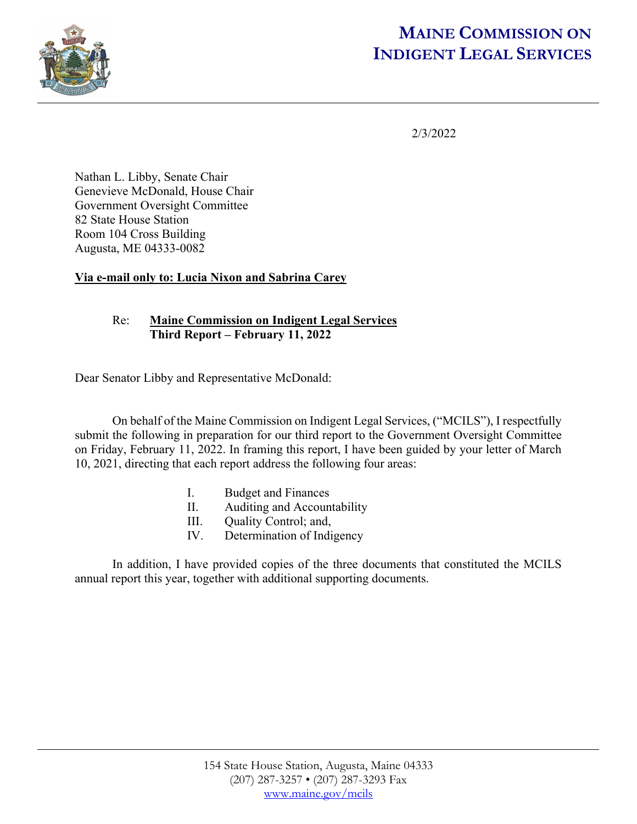

# **MAINE COMMISSION ON INDIGENT LEGAL SERVICES**

2/3/2022

Nathan L. Libby, Senate Chair Genevieve McDonald, House Chair Government Oversight Committee 82 State House Station Room 104 Cross Building Augusta, ME 04333-0082

# **Via e-mail only to: Lucia Nixon and Sabrina Carey**

# Re: **Maine Commission on Indigent Legal Services Third Report – February 11, 2022**

Dear Senator Libby and Representative McDonald:

 On behalf of the Maine Commission on Indigent Legal Services, ("MCILS"), I respectfully submit the following in preparation for our third report to the Government Oversight Committee on Friday, February 11, 2022. In framing this report, I have been guided by your letter of March 10, 2021, directing that each report address the following four areas:

- I. Budget and Finances
- II. Auditing and Accountability
- III. Quality Control; and,
- IV. Determination of Indigency

In addition, I have provided copies of the three documents that constituted the MCILS annual report this year, together with additional supporting documents.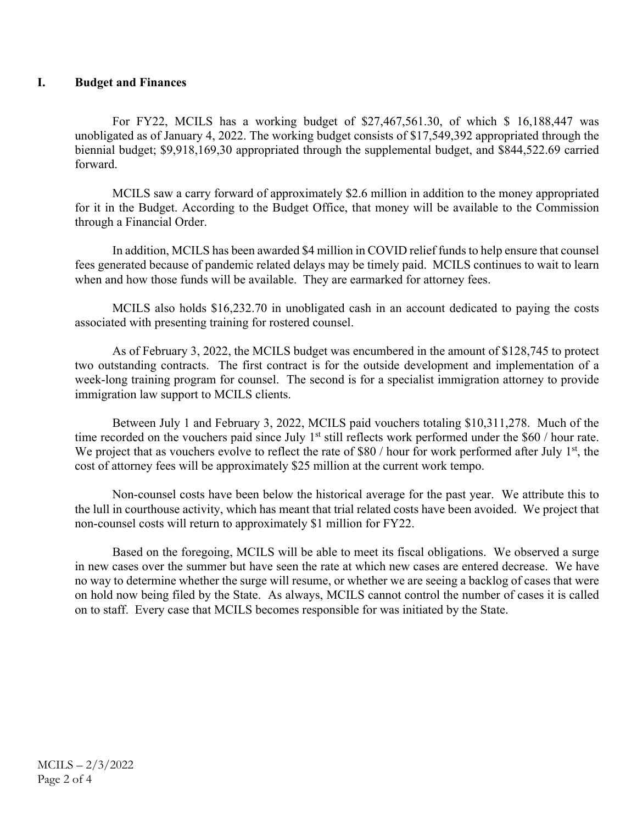## **I. Budget and Finances**

For FY22, MCILS has a working budget of \$27,467,561.30, of which \$ 16,188,447 was unobligated as of January 4, 2022. The working budget consists of \$17,549,392 appropriated through the biennial budget; \$9,918,169,30 appropriated through the supplemental budget, and \$844,522.69 carried forward.

MCILS saw a carry forward of approximately \$2.6 million in addition to the money appropriated for it in the Budget. According to the Budget Office, that money will be available to the Commission through a Financial Order.

In addition, MCILS has been awarded \$4 million in COVID relief funds to help ensure that counsel fees generated because of pandemic related delays may be timely paid. MCILS continues to wait to learn when and how those funds will be available. They are earmarked for attorney fees.

MCILS also holds \$16,232.70 in unobligated cash in an account dedicated to paying the costs associated with presenting training for rostered counsel.

As of February 3, 2022, the MCILS budget was encumbered in the amount of \$128,745 to protect two outstanding contracts. The first contract is for the outside development and implementation of a week-long training program for counsel. The second is for a specialist immigration attorney to provide immigration law support to MCILS clients.

Between July 1 and February 3, 2022, MCILS paid vouchers totaling \$10,311,278. Much of the time recorded on the vouchers paid since July  $1<sup>st</sup>$  still reflects work performed under the \$60 / hour rate. We project that as vouchers evolve to reflect the rate of \$80 / hour for work performed after July  $1<sup>st</sup>$ , the cost of attorney fees will be approximately \$25 million at the current work tempo.

Non-counsel costs have been below the historical average for the past year. We attribute this to the lull in courthouse activity, which has meant that trial related costs have been avoided. We project that non-counsel costs will return to approximately \$1 million for FY22.

Based on the foregoing, MCILS will be able to meet its fiscal obligations. We observed a surge in new cases over the summer but have seen the rate at which new cases are entered decrease. We have no way to determine whether the surge will resume, or whether we are seeing a backlog of cases that were on hold now being filed by the State. As always, MCILS cannot control the number of cases it is called on to staff. Every case that MCILS becomes responsible for was initiated by the State.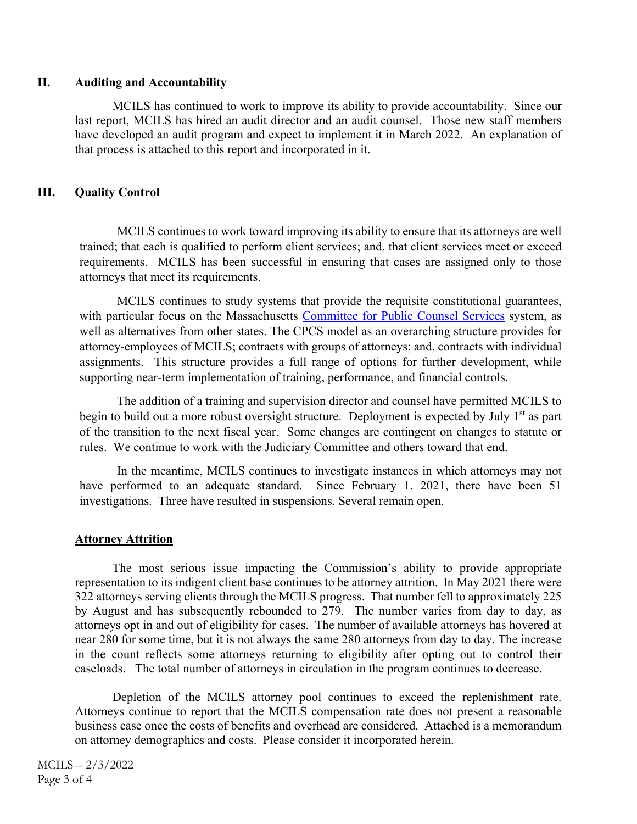## **II. Auditing and Accountability**

MCILS has continued to work to improve its ability to provide accountability. Since our last report, MCILS has hired an audit director and an audit counsel. Those new staff members have developed an audit program and expect to implement it in March 2022. An explanation of that process is attached to this report and incorporated in it.

# **III. Quality Control**

MCILS continues to work toward improving its ability to ensure that its attorneys are well trained; that each is qualified to perform client services; and, that client services meet or exceed requirements. MCILS has been successful in ensuring that cases are assigned only to those attorneys that meet its requirements.

MCILS continues to study systems that provide the requisite constitutional guarantees, with particular focus on the Massachusetts Committee for Public Counsel Services system, as well as alternatives from other states. The CPCS model as an overarching structure provides for attorney-employees of MCILS; contracts with groups of attorneys; and, contracts with individual assignments. This structure provides a full range of options for further development, while supporting near-term implementation of training, performance, and financial controls.

The addition of a training and supervision director and counsel have permitted MCILS to begin to build out a more robust oversight structure. Deployment is expected by July  $1<sup>st</sup>$  as part of the transition to the next fiscal year. Some changes are contingent on changes to statute or rules. We continue to work with the Judiciary Committee and others toward that end.

In the meantime, MCILS continues to investigate instances in which attorneys may not have performed to an adequate standard. Since February 1, 2021, there have been 51 investigations. Three have resulted in suspensions. Several remain open.

# **Attorney Attrition**

 The most serious issue impacting the Commission's ability to provide appropriate representation to its indigent client base continues to be attorney attrition. In May 2021 there were 322 attorneys serving clients through the MCILS progress. That number fell to approximately 225 by August and has subsequently rebounded to 279. The number varies from day to day, as attorneys opt in and out of eligibility for cases. The number of available attorneys has hovered at near 280 for some time, but it is not always the same 280 attorneys from day to day. The increase in the count reflects some attorneys returning to eligibility after opting out to control their caseloads. The total number of attorneys in circulation in the program continues to decrease.

 Depletion of the MCILS attorney pool continues to exceed the replenishment rate. Attorneys continue to report that the MCILS compensation rate does not present a reasonable business case once the costs of benefits and overhead are considered. Attached is a memorandum on attorney demographics and costs. Please consider it incorporated herein.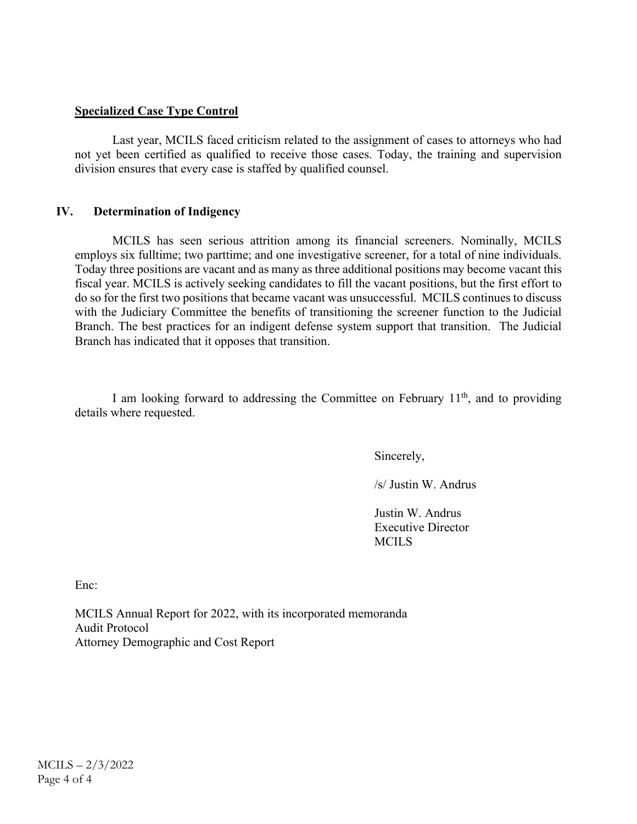### **Specialized Case Type Control**

 Last year, MCILS faced criticism related to the assignment of cases to attorneys who had not yet been certified as qualified to receive those cases. Today, the training and supervision division ensures that every case is staffed by qualified counsel.

#### **IV. Determination of Indigency**

MCILS has seen serious attrition among its financial screeners. Nominally, MCILS employs six fulltime; two parttime; and one investigative screener, for a total of nine individuals. Today three positions are vacant and as many as three additional positions may become vacant this fiscal year. MCILS is actively seeking candidates to fill the vacant positions, but the first effort to do so for the first two positions that became vacant was unsuccessful. MCILS continues to discuss with the Judiciary Committee the benefits of transitioning the screener function to the Judicial Branch. The best practices for an indigent defense system support that transition. The Judicial Branch has indicated that it opposes that transition.

I am looking forward to addressing the Committee on February  $11<sup>th</sup>$ , and to providing details where requested.

Sincerely,

/s/ Justin W. Andrus

 Justin W. Andrus Executive Director MCILS

Enc:

MCILS Annual Report for 2022, with its incorporated memoranda Audit Protocol Attorney Demographic and Cost Report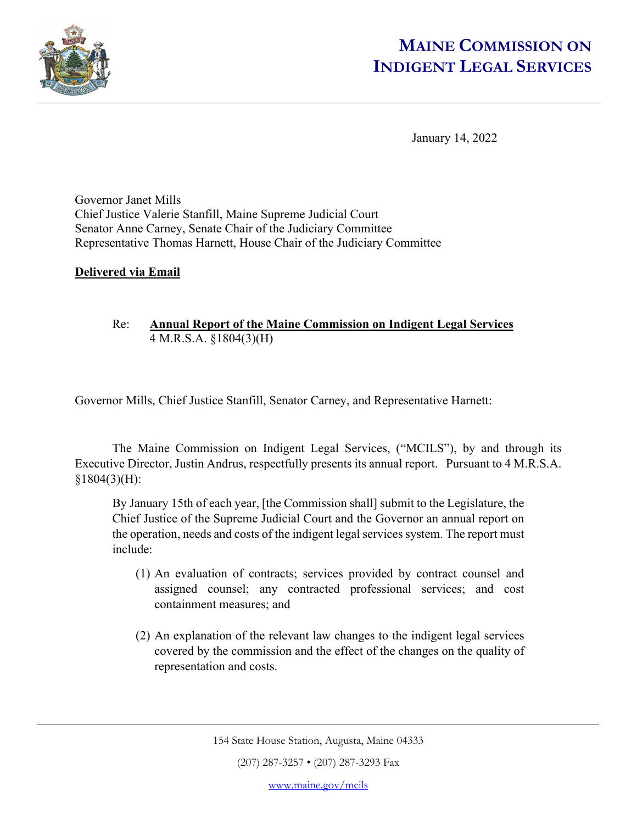

# **MAINE COMMISSION ON INDIGENT LEGAL SERVICES**

January 14, 2022

Governor Janet Mills Chief Justice Valerie Stanfill, Maine Supreme Judicial Court Senator Anne Carney, Senate Chair of the Judiciary Committee Representative Thomas Harnett, House Chair of the Judiciary Committee

# **Delivered via Email**

# Re: **Annual Report of the Maine Commission on Indigent Legal Services** 4 M.R.S.A. §1804(3)(H)

Governor Mills, Chief Justice Stanfill, Senator Carney, and Representative Harnett:

 The Maine Commission on Indigent Legal Services, ("MCILS"), by and through its Executive Director, Justin Andrus, respectfully presents its annual report. Pursuant to 4 M.R.S.A. §1804(3)(H):

By January 15th of each year, [the Commission shall] submit to the Legislature, the Chief Justice of the Supreme Judicial Court and the Governor an annual report on the operation, needs and costs of the indigent legal services system. The report must include:

- (1) An evaluation of contracts; services provided by contract counsel and assigned counsel; any contracted professional services; and cost containment measures; and
- (2) An explanation of the relevant law changes to the indigent legal services covered by the commission and the effect of the changes on the quality of representation and costs.

(207) 287-3257 • (207) 287-3293 Fax

<sup>154</sup> State House Station, Augusta, Maine 04333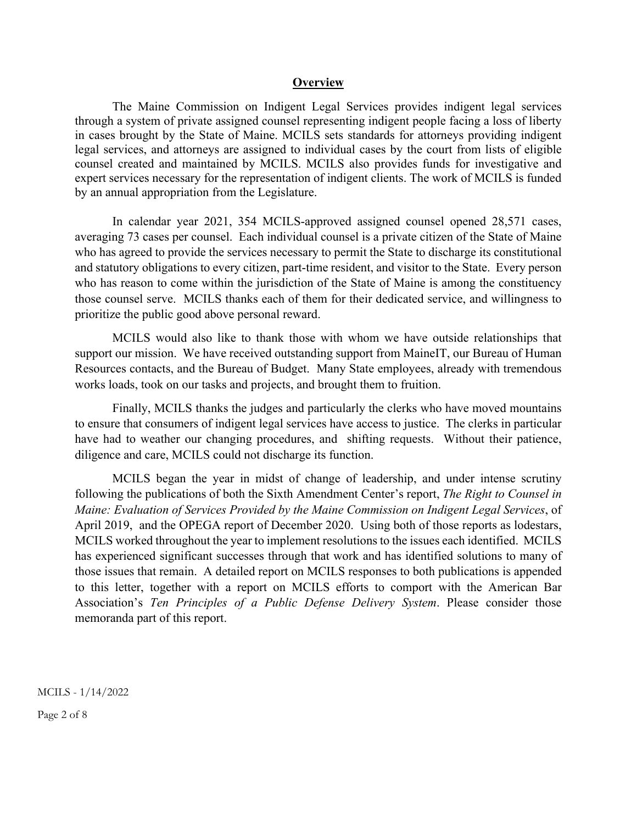#### **Overview**

The Maine Commission on Indigent Legal Services provides indigent legal services through a system of private assigned counsel representing indigent people facing a loss of liberty in cases brought by the State of Maine. MCILS sets standards for attorneys providing indigent legal services, and attorneys are assigned to individual cases by the court from lists of eligible counsel created and maintained by MCILS. MCILS also provides funds for investigative and expert services necessary for the representation of indigent clients. The work of MCILS is funded by an annual appropriation from the Legislature.

In calendar year 2021, 354 MCILS-approved assigned counsel opened 28,571 cases, averaging 73 cases per counsel. Each individual counsel is a private citizen of the State of Maine who has agreed to provide the services necessary to permit the State to discharge its constitutional and statutory obligations to every citizen, part-time resident, and visitor to the State. Every person who has reason to come within the jurisdiction of the State of Maine is among the constituency those counsel serve. MCILS thanks each of them for their dedicated service, and willingness to prioritize the public good above personal reward.

MCILS would also like to thank those with whom we have outside relationships that support our mission. We have received outstanding support from MaineIT, our Bureau of Human Resources contacts, and the Bureau of Budget. Many State employees, already with tremendous works loads, took on our tasks and projects, and brought them to fruition.

Finally, MCILS thanks the judges and particularly the clerks who have moved mountains to ensure that consumers of indigent legal services have access to justice. The clerks in particular have had to weather our changing procedures, and shifting requests. Without their patience, diligence and care, MCILS could not discharge its function.

MCILS began the year in midst of change of leadership, and under intense scrutiny following the publications of both the Sixth Amendment Center's report, *The Right to Counsel in Maine: Evaluation of Services Provided by the Maine Commission on Indigent Legal Services*, of April 2019, and the OPEGA report of December 2020. Using both of those reports as lodestars, MCILS worked throughout the year to implement resolutions to the issues each identified. MCILS has experienced significant successes through that work and has identified solutions to many of those issues that remain. A detailed report on MCILS responses to both publications is appended to this letter, together with a report on MCILS efforts to comport with the American Bar Association's *Ten Principles of a Public Defense Delivery System*. Please consider those memoranda part of this report.

MCILS - 1/14/2022

Page 2 of 8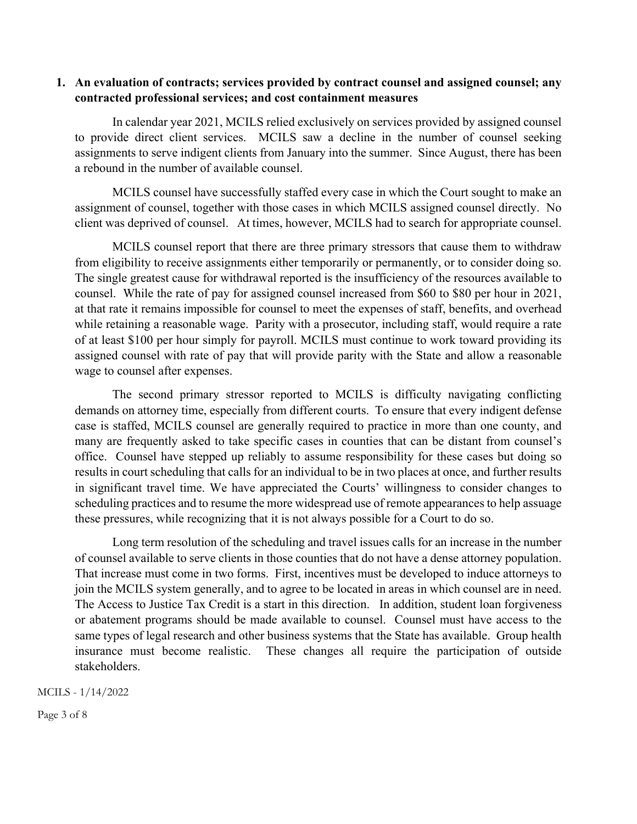## **1. An evaluation of contracts; services provided by contract counsel and assigned counsel; any contracted professional services; and cost containment measures**

In calendar year 2021, MCILS relied exclusively on services provided by assigned counsel to provide direct client services. MCILS saw a decline in the number of counsel seeking assignments to serve indigent clients from January into the summer. Since August, there has been a rebound in the number of available counsel.

MCILS counsel have successfully staffed every case in which the Court sought to make an assignment of counsel, together with those cases in which MCILS assigned counsel directly. No client was deprived of counsel. At times, however, MCILS had to search for appropriate counsel.

MCILS counsel report that there are three primary stressors that cause them to withdraw from eligibility to receive assignments either temporarily or permanently, or to consider doing so. The single greatest cause for withdrawal reported is the insufficiency of the resources available to counsel. While the rate of pay for assigned counsel increased from \$60 to \$80 per hour in 2021, at that rate it remains impossible for counsel to meet the expenses of staff, benefits, and overhead while retaining a reasonable wage. Parity with a prosecutor, including staff, would require a rate of at least \$100 per hour simply for payroll. MCILS must continue to work toward providing its assigned counsel with rate of pay that will provide parity with the State and allow a reasonable wage to counsel after expenses.

The second primary stressor reported to MCILS is difficulty navigating conflicting demands on attorney time, especially from different courts. To ensure that every indigent defense case is staffed, MCILS counsel are generally required to practice in more than one county, and many are frequently asked to take specific cases in counties that can be distant from counsel's office. Counsel have stepped up reliably to assume responsibility for these cases but doing so results in court scheduling that calls for an individual to be in two places at once, and further results in significant travel time. We have appreciated the Courts' willingness to consider changes to scheduling practices and to resume the more widespread use of remote appearances to help assuage these pressures, while recognizing that it is not always possible for a Court to do so.

Long term resolution of the scheduling and travel issues calls for an increase in the number of counsel available to serve clients in those counties that do not have a dense attorney population. That increase must come in two forms. First, incentives must be developed to induce attorneys to join the MCILS system generally, and to agree to be located in areas in which counsel are in need. The Access to Justice Tax Credit is a start in this direction. In addition, student loan forgiveness or abatement programs should be made available to counsel. Counsel must have access to the same types of legal research and other business systems that the State has available. Group health insurance must become realistic. These changes all require the participation of outside stakeholders.

MCILS - 1/14/2022

Page 3 of 8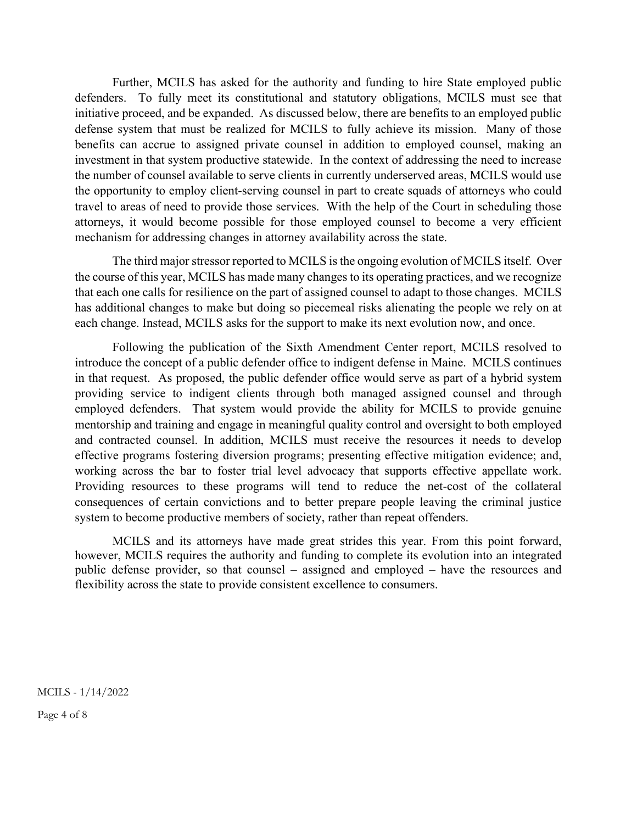Further, MCILS has asked for the authority and funding to hire State employed public defenders. To fully meet its constitutional and statutory obligations, MCILS must see that initiative proceed, and be expanded. As discussed below, there are benefits to an employed public defense system that must be realized for MCILS to fully achieve its mission. Many of those benefits can accrue to assigned private counsel in addition to employed counsel, making an investment in that system productive statewide. In the context of addressing the need to increase the number of counsel available to serve clients in currently underserved areas, MCILS would use the opportunity to employ client-serving counsel in part to create squads of attorneys who could travel to areas of need to provide those services. With the help of the Court in scheduling those attorneys, it would become possible for those employed counsel to become a very efficient mechanism for addressing changes in attorney availability across the state.

The third major stressor reported to MCILS is the ongoing evolution of MCILS itself. Over the course of this year, MCILS has made many changes to its operating practices, and we recognize that each one calls for resilience on the part of assigned counsel to adapt to those changes. MCILS has additional changes to make but doing so piecemeal risks alienating the people we rely on at each change. Instead, MCILS asks for the support to make its next evolution now, and once.

Following the publication of the Sixth Amendment Center report, MCILS resolved to introduce the concept of a public defender office to indigent defense in Maine. MCILS continues in that request. As proposed, the public defender office would serve as part of a hybrid system providing service to indigent clients through both managed assigned counsel and through employed defenders. That system would provide the ability for MCILS to provide genuine mentorship and training and engage in meaningful quality control and oversight to both employed and contracted counsel. In addition, MCILS must receive the resources it needs to develop effective programs fostering diversion programs; presenting effective mitigation evidence; and, working across the bar to foster trial level advocacy that supports effective appellate work. Providing resources to these programs will tend to reduce the net-cost of the collateral consequences of certain convictions and to better prepare people leaving the criminal justice system to become productive members of society, rather than repeat offenders.

MCILS and its attorneys have made great strides this year. From this point forward, however, MCILS requires the authority and funding to complete its evolution into an integrated public defense provider, so that counsel – assigned and employed – have the resources and flexibility across the state to provide consistent excellence to consumers.

MCILS - 1/14/2022

Page 4 of 8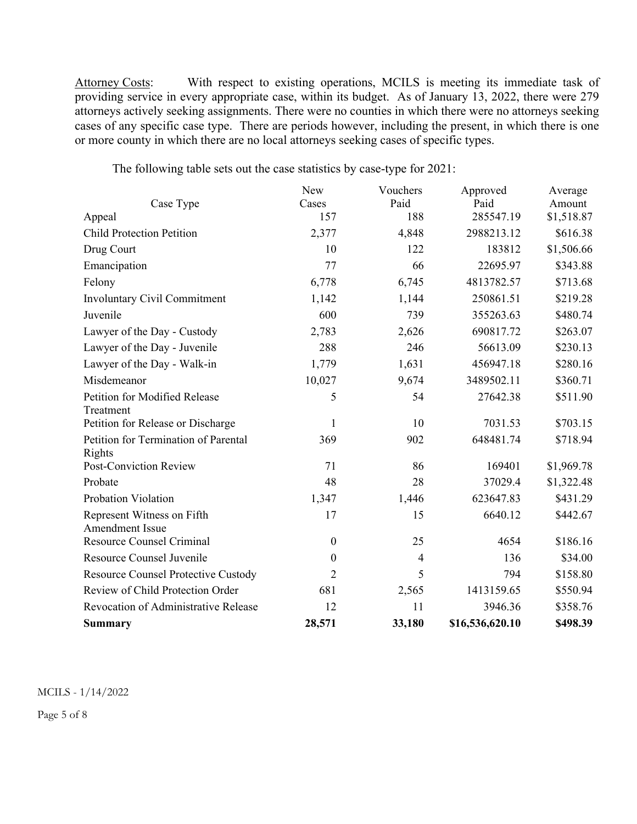Attorney Costs: With respect to existing operations, MCILS is meeting its immediate task of providing service in every appropriate case, within its budget. As of January 13, 2022, there were 279 attorneys actively seeking assignments. There were no counties in which there were no attorneys seeking cases of any specific case type. There are periods however, including the present, in which there is one or more county in which there are no local attorneys seeking cases of specific types.

The following table sets out the case statistics by case-type for 2021:

|                                                      | New              | Vouchers       | Approved        | Average    |
|------------------------------------------------------|------------------|----------------|-----------------|------------|
| Case Type                                            | Cases            | Paid           | Paid            | Amount     |
| Appeal                                               | 157              | 188            | 285547.19       | \$1,518.87 |
| <b>Child Protection Petition</b>                     | 2,377            | 4,848          | 2988213.12      | \$616.38   |
| Drug Court                                           | 10               | 122            | 183812          | \$1,506.66 |
| Emancipation                                         | 77               | 66             | 22695.97        | \$343.88   |
| Felony                                               | 6,778            | 6,745          | 4813782.57      | \$713.68   |
| <b>Involuntary Civil Commitment</b>                  | 1,142            | 1,144          | 250861.51       | \$219.28   |
| Juvenile                                             | 600              | 739            | 355263.63       | \$480.74   |
| Lawyer of the Day - Custody                          | 2,783            | 2,626          | 690817.72       | \$263.07   |
| Lawyer of the Day - Juvenile                         | 288              | 246            | 56613.09        | \$230.13   |
| Lawyer of the Day - Walk-in                          | 1,779            | 1,631          | 456947.18       | \$280.16   |
| Misdemeanor                                          | 10,027           | 9,674          | 3489502.11      | \$360.71   |
| Petition for Modified Release                        | 5                | 54             | 27642.38        | \$511.90   |
| Treatment                                            |                  |                |                 |            |
| Petition for Release or Discharge                    | 1                | 10             | 7031.53         | \$703.15   |
| Petition for Termination of Parental                 | 369              | 902            | 648481.74       | \$718.94   |
| Rights                                               |                  |                |                 |            |
| Post-Conviction Review                               | 71               | 86             | 169401          | \$1,969.78 |
| Probate                                              | 48               | 28             | 37029.4         | \$1,322.48 |
| Probation Violation                                  | 1,347            | 1,446          | 623647.83       | \$431.29   |
| Represent Witness on Fifth<br><b>Amendment Issue</b> | 17               | 15             | 6640.12         | \$442.67   |
| <b>Resource Counsel Criminal</b>                     | $\boldsymbol{0}$ | 25             | 4654            | \$186.16   |
| Resource Counsel Juvenile                            | $\theta$         | $\overline{4}$ | 136             | \$34.00    |
| Resource Counsel Protective Custody                  | $\overline{2}$   | 5              | 794             | \$158.80   |
| Review of Child Protection Order                     | 681              | 2,565          | 1413159.65      | \$550.94   |
| Revocation of Administrative Release                 | 12               | 11             | 3946.36         | \$358.76   |
| Summary                                              | 28,571           | 33,180         | \$16,536,620.10 | \$498.39   |

MCILS - 1/14/2022

Page 5 of 8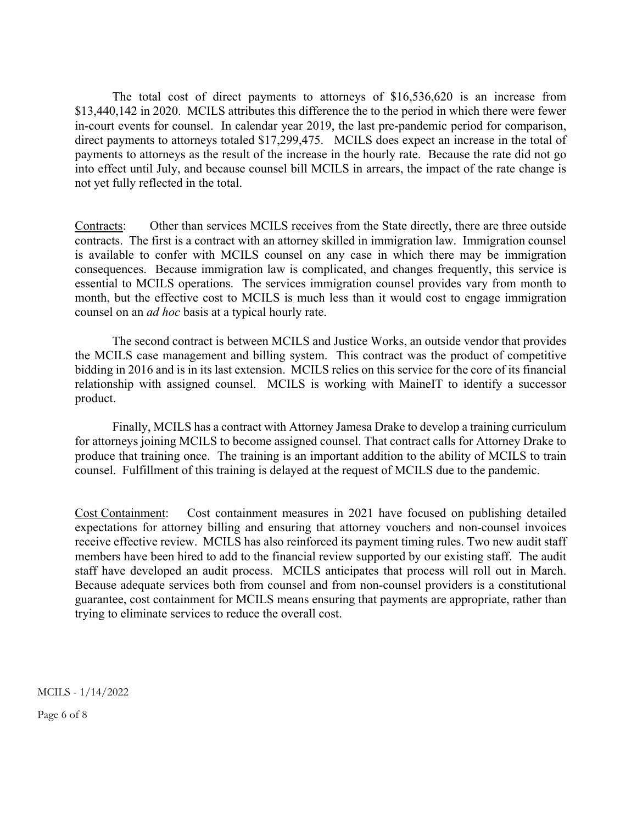The total cost of direct payments to attorneys of \$16,536,620 is an increase from \$13,440,142 in 2020. MCILS attributes this difference the to the period in which there were fewer in-court events for counsel. In calendar year 2019, the last pre-pandemic period for comparison, direct payments to attorneys totaled \$17,299,475. MCILS does expect an increase in the total of payments to attorneys as the result of the increase in the hourly rate. Because the rate did not go into effect until July, and because counsel bill MCILS in arrears, the impact of the rate change is not yet fully reflected in the total.

Contracts: Other than services MCILS receives from the State directly, there are three outside contracts. The first is a contract with an attorney skilled in immigration law. Immigration counsel is available to confer with MCILS counsel on any case in which there may be immigration consequences. Because immigration law is complicated, and changes frequently, this service is essential to MCILS operations. The services immigration counsel provides vary from month to month, but the effective cost to MCILS is much less than it would cost to engage immigration counsel on an *ad hoc* basis at a typical hourly rate.

 The second contract is between MCILS and Justice Works, an outside vendor that provides the MCILS case management and billing system. This contract was the product of competitive bidding in 2016 and is in its last extension. MCILS relies on this service for the core of its financial relationship with assigned counsel. MCILS is working with MaineIT to identify a successor product.

 Finally, MCILS has a contract with Attorney Jamesa Drake to develop a training curriculum for attorneys joining MCILS to become assigned counsel. That contract calls for Attorney Drake to produce that training once. The training is an important addition to the ability of MCILS to train counsel. Fulfillment of this training is delayed at the request of MCILS due to the pandemic.

Cost Containment: Cost containment measures in 2021 have focused on publishing detailed expectations for attorney billing and ensuring that attorney vouchers and non-counsel invoices receive effective review. MCILS has also reinforced its payment timing rules. Two new audit staff members have been hired to add to the financial review supported by our existing staff. The audit staff have developed an audit process. MCILS anticipates that process will roll out in March. Because adequate services both from counsel and from non-counsel providers is a constitutional guarantee, cost containment for MCILS means ensuring that payments are appropriate, rather than trying to eliminate services to reduce the overall cost.

MCILS - 1/14/2022

Page 6 of 8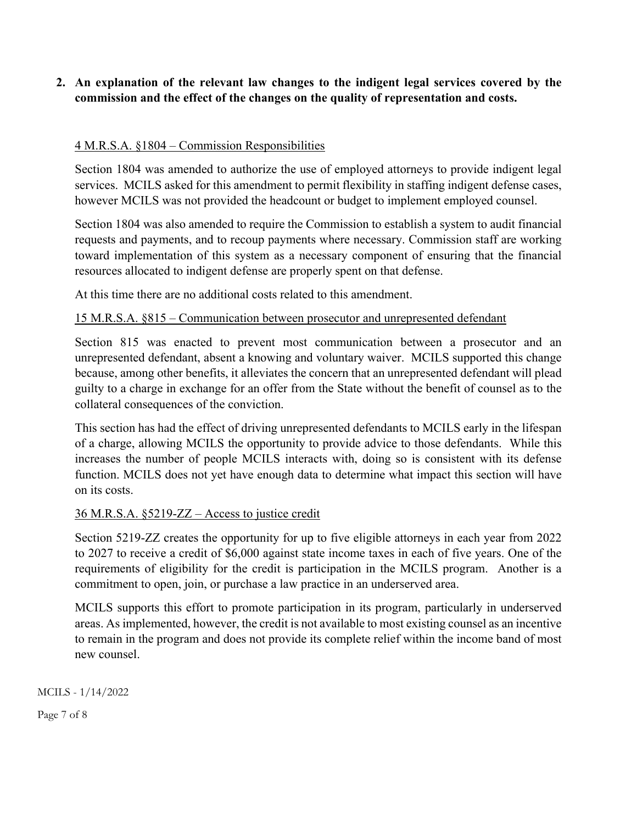# **2. An explanation of the relevant law changes to the indigent legal services covered by the commission and the effect of the changes on the quality of representation and costs.**

## 4 M.R.S.A. §1804 – Commission Responsibilities

Section 1804 was amended to authorize the use of employed attorneys to provide indigent legal services. MCILS asked for this amendment to permit flexibility in staffing indigent defense cases, however MCILS was not provided the headcount or budget to implement employed counsel.

Section 1804 was also amended to require the Commission to establish a system to audit financial requests and payments, and to recoup payments where necessary. Commission staff are working toward implementation of this system as a necessary component of ensuring that the financial resources allocated to indigent defense are properly spent on that defense.

At this time there are no additional costs related to this amendment.

## 15 M.R.S.A. §815 – Communication between prosecutor and unrepresented defendant

Section 815 was enacted to prevent most communication between a prosecutor and an unrepresented defendant, absent a knowing and voluntary waiver. MCILS supported this change because, among other benefits, it alleviates the concern that an unrepresented defendant will plead guilty to a charge in exchange for an offer from the State without the benefit of counsel as to the collateral consequences of the conviction.

This section has had the effect of driving unrepresented defendants to MCILS early in the lifespan of a charge, allowing MCILS the opportunity to provide advice to those defendants. While this increases the number of people MCILS interacts with, doing so is consistent with its defense function. MCILS does not yet have enough data to determine what impact this section will have on its costs.

### 36 M.R.S.A. §5219-ZZ – Access to justice credit

Section 5219-ZZ creates the opportunity for up to five eligible attorneys in each year from 2022 to 2027 to receive a credit of \$6,000 against state income taxes in each of five years. One of the requirements of eligibility for the credit is participation in the MCILS program. Another is a commitment to open, join, or purchase a law practice in an underserved area.

MCILS supports this effort to promote participation in its program, particularly in underserved areas. As implemented, however, the credit is not available to most existing counsel as an incentive to remain in the program and does not provide its complete relief within the income band of most new counsel.

MCILS - 1/14/2022

Page 7 of 8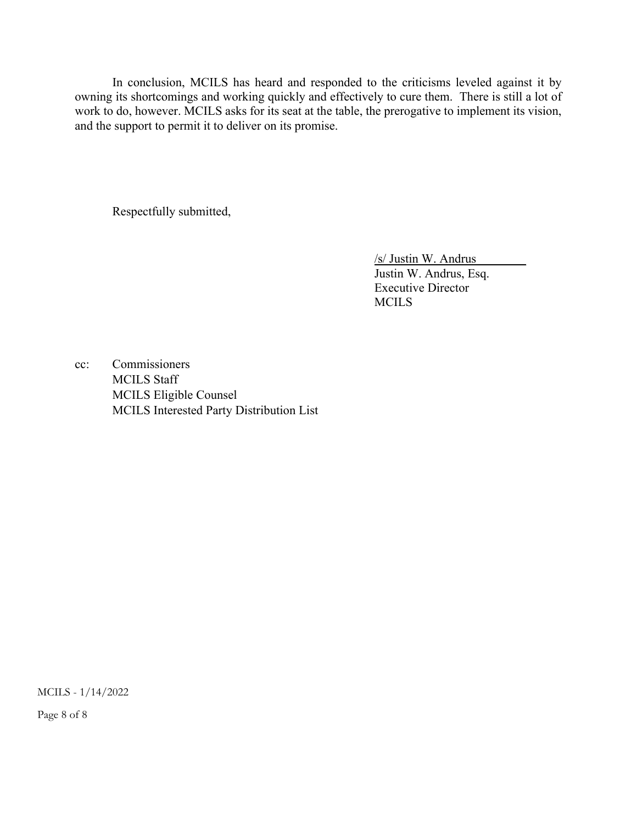In conclusion, MCILS has heard and responded to the criticisms leveled against it by owning its shortcomings and working quickly and effectively to cure them. There is still a lot of work to do, however. MCILS asks for its seat at the table, the prerogative to implement its vision, and the support to permit it to deliver on its promise.

Respectfully submitted,

 /s/ Justin W. Andrus\_\_\_\_\_\_\_\_ Justin W. Andrus, Esq. Executive Director MCILS

cc: Commissioners MCILS Staff MCILS Eligible Counsel MCILS Interested Party Distribution List

MCILS - 1/14/2022

Page 8 of 8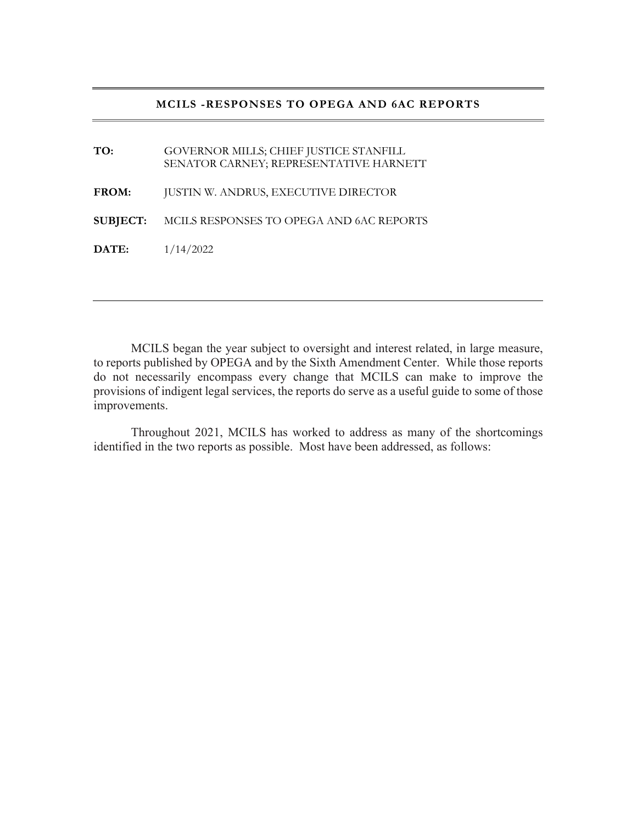#### **MCILS -RESPONSES TO OPEGA AND 6AC REPORTS**

**TO:** GOVERNOR MILLS; CHIEF JUSTICE STANFILL SENATOR CARNEY; REPRESENTATIVE HARNETT **FROM:** JUSTIN W. ANDRUS, EXECUTIVE DIRECTOR **SUBJECT:** MCILS RESPONSES TO OPEGA AND 6AC REPORTS **DATE:** 1/14/2022

MCILS began the year subject to oversight and interest related, in large measure, to reports published by OPEGA and by the Sixth Amendment Center. While those reports do not necessarily encompass every change that MCILS can make to improve the provisions of indigent legal services, the reports do serve as a useful guide to some of those improvements.

 Throughout 2021, MCILS has worked to address as many of the shortcomings identified in the two reports as possible. Most have been addressed, as follows: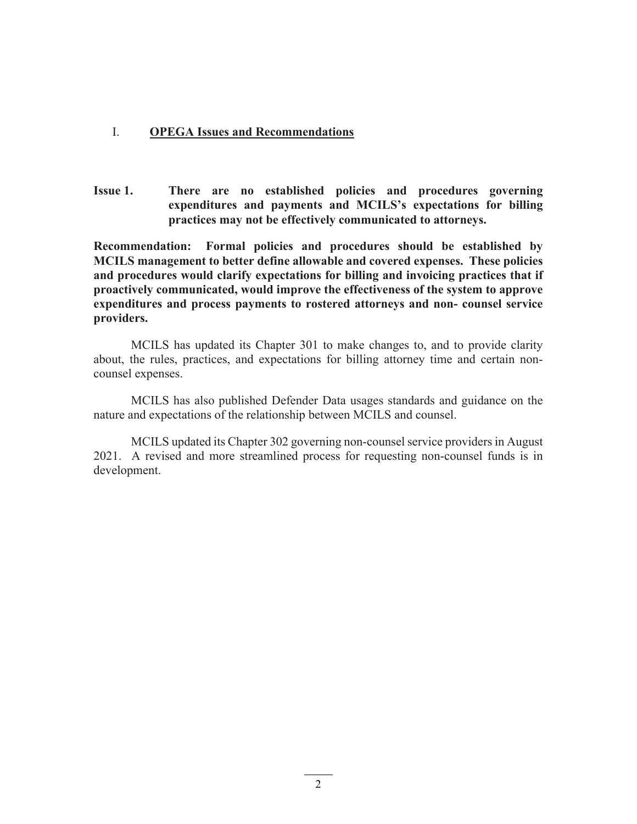### I. **OPEGA Issues and Recommendations**

**Issue 1. There are no established policies and procedures governing expenditures and payments and MCILS's expectations for billing practices may not be effectively communicated to attorneys.** 

**Recommendation: Formal policies and procedures should be established by MCILS management to better define allowable and covered expenses. These policies and procedures would clarify expectations for billing and invoicing practices that if proactively communicated, would improve the effectiveness of the system to approve expenditures and process payments to rostered attorneys and non- counsel service providers.** 

 MCILS has updated its Chapter 301 to make changes to, and to provide clarity about, the rules, practices, and expectations for billing attorney time and certain noncounsel expenses.

 MCILS has also published Defender Data usages standards and guidance on the nature and expectations of the relationship between MCILS and counsel.

 MCILS updated its Chapter 302 governing non-counsel service providers in August 2021. A revised and more streamlined process for requesting non-counsel funds is in development.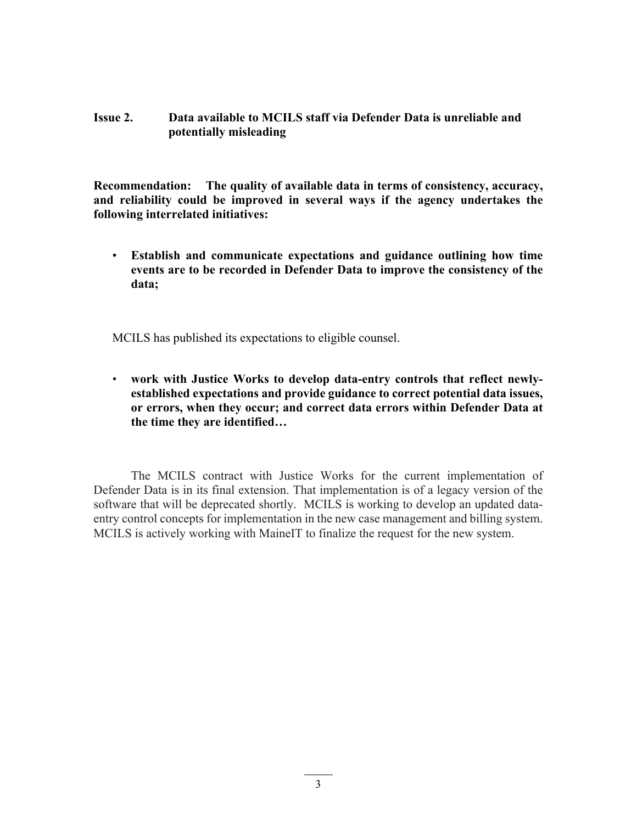## **Issue 2. Data available to MCILS staff via Defender Data is unreliable and potentially misleading**

**Recommendation: The quality of available data in terms of consistency, accuracy, and reliability could be improved in several ways if the agency undertakes the following interrelated initiatives:** 

• **Establish and communicate expectations and guidance outlining how time events are to be recorded in Defender Data to improve the consistency of the data;** 

MCILS has published its expectations to eligible counsel.

• **work with Justice Works to develop data-entry controls that reflect newlyestablished expectations and provide guidance to correct potential data issues, or errors, when they occur; and correct data errors within Defender Data at the time they are identified…**

The MCILS contract with Justice Works for the current implementation of Defender Data is in its final extension. That implementation is of a legacy version of the software that will be deprecated shortly. MCILS is working to develop an updated dataentry control concepts for implementation in the new case management and billing system. MCILS is actively working with MaineIT to finalize the request for the new system.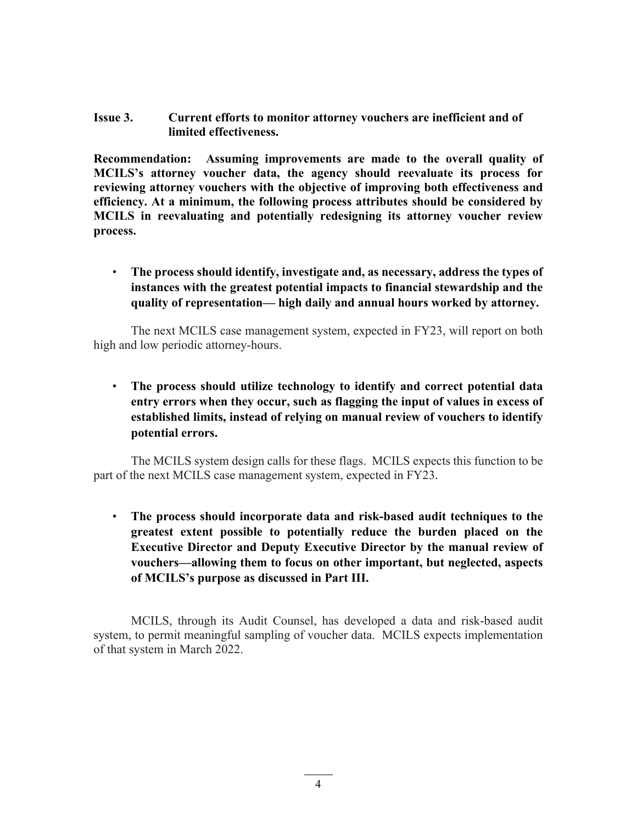#### **Issue 3. Current efforts to monitor attorney vouchers are inefficient and of limited effectiveness.**

**Recommendation: Assuming improvements are made to the overall quality of MCILS's attorney voucher data, the agency should reevaluate its process for reviewing attorney vouchers with the objective of improving both effectiveness and efficiency. At a minimum, the following process attributes should be considered by MCILS in reevaluating and potentially redesigning its attorney voucher review process.** 

• **The process should identify, investigate and, as necessary, address the types of instances with the greatest potential impacts to financial stewardship and the quality of representation— high daily and annual hours worked by attorney.**

The next MCILS case management system, expected in FY23, will report on both high and low periodic attorney-hours.

• **The process should utilize technology to identify and correct potential data entry errors when they occur, such as flagging the input of values in excess of established limits, instead of relying on manual review of vouchers to identify potential errors.** 

The MCILS system design calls for these flags. MCILS expects this function to be part of the next MCILS case management system, expected in FY23.

• **The process should incorporate data and risk-based audit techniques to the greatest extent possible to potentially reduce the burden placed on the Executive Director and Deputy Executive Director by the manual review of vouchers—allowing them to focus on other important, but neglected, aspects of MCILS's purpose as discussed in Part III.** 

MCILS, through its Audit Counsel, has developed a data and risk-based audit system, to permit meaningful sampling of voucher data. MCILS expects implementation of that system in March 2022.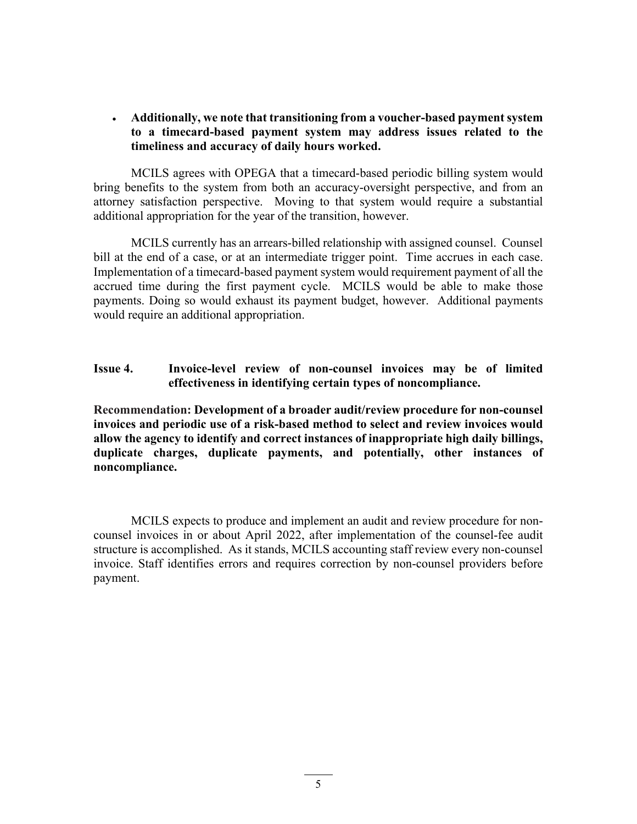**Additionally, we note that transitioning from a voucher-based payment system to a timecard-based payment system may address issues related to the timeliness and accuracy of daily hours worked.**

 MCILS agrees with OPEGA that a timecard-based periodic billing system would bring benefits to the system from both an accuracy-oversight perspective, and from an attorney satisfaction perspective. Moving to that system would require a substantial additional appropriation for the year of the transition, however.

 MCILS currently has an arrears-billed relationship with assigned counsel. Counsel bill at the end of a case, or at an intermediate trigger point. Time accrues in each case. Implementation of a timecard-based payment system would requirement payment of all the accrued time during the first payment cycle. MCILS would be able to make those payments. Doing so would exhaust its payment budget, however. Additional payments would require an additional appropriation.

## **Issue 4. Invoice-level review of non-counsel invoices may be of limited effectiveness in identifying certain types of noncompliance.**

**Recommendation: Development of a broader audit/review procedure for non-counsel invoices and periodic use of a risk-based method to select and review invoices would allow the agency to identify and correct instances of inappropriate high daily billings, duplicate charges, duplicate payments, and potentially, other instances of noncompliance.** 

MCILS expects to produce and implement an audit and review procedure for noncounsel invoices in or about April 2022, after implementation of the counsel-fee audit structure is accomplished. As it stands, MCILS accounting staff review every non-counsel invoice. Staff identifies errors and requires correction by non-counsel providers before payment.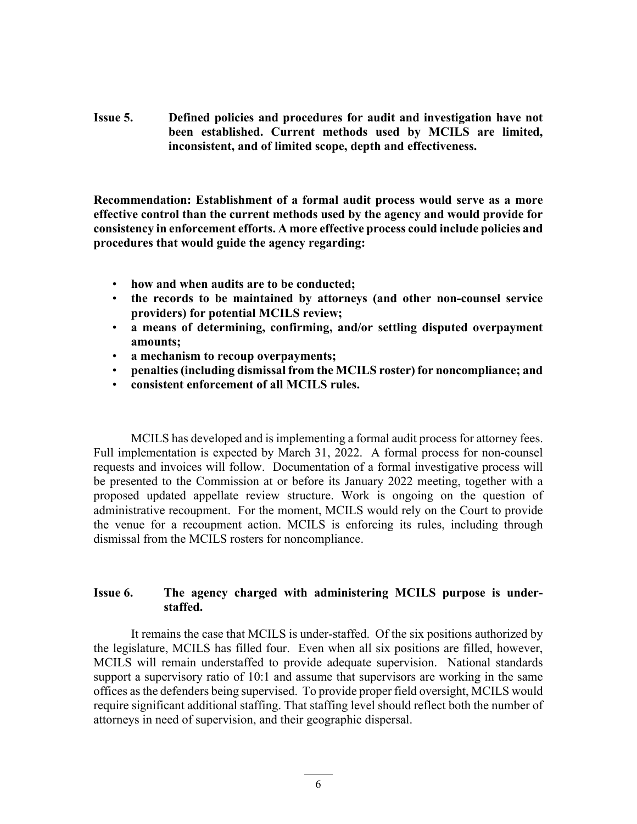**Issue 5. Defined policies and procedures for audit and investigation have not been established. Current methods used by MCILS are limited, inconsistent, and of limited scope, depth and effectiveness.** 

**Recommendation: Establishment of a formal audit process would serve as a more effective control than the current methods used by the agency and would provide for consistency in enforcement efforts. A more effective process could include policies and procedures that would guide the agency regarding:** 

- **how and when audits are to be conducted;**
- **the records to be maintained by attorneys (and other non-counsel service providers) for potential MCILS review;**
- **a means of determining, confirming, and/or settling disputed overpayment amounts;**
- **a mechanism to recoup overpayments;**
- **penalties (including dismissal from the MCILS roster) for noncompliance; and**
- **consistent enforcement of all MCILS rules.**

MCILS has developed and is implementing a formal audit process for attorney fees. Full implementation is expected by March 31, 2022. A formal process for non-counsel requests and invoices will follow. Documentation of a formal investigative process will be presented to the Commission at or before its January 2022 meeting, together with a proposed updated appellate review structure. Work is ongoing on the question of administrative recoupment. For the moment, MCILS would rely on the Court to provide the venue for a recoupment action. MCILS is enforcing its rules, including through dismissal from the MCILS rosters for noncompliance.

## **Issue 6. The agency charged with administering MCILS purpose is understaffed.**

 It remains the case that MCILS is under-staffed. Of the six positions authorized by the legislature, MCILS has filled four. Even when all six positions are filled, however, MCILS will remain understaffed to provide adequate supervision. National standards support a supervisory ratio of 10:1 and assume that supervisors are working in the same offices as the defenders being supervised. To provide proper field oversight, MCILS would require significant additional staffing. That staffing level should reflect both the number of attorneys in need of supervision, and their geographic dispersal.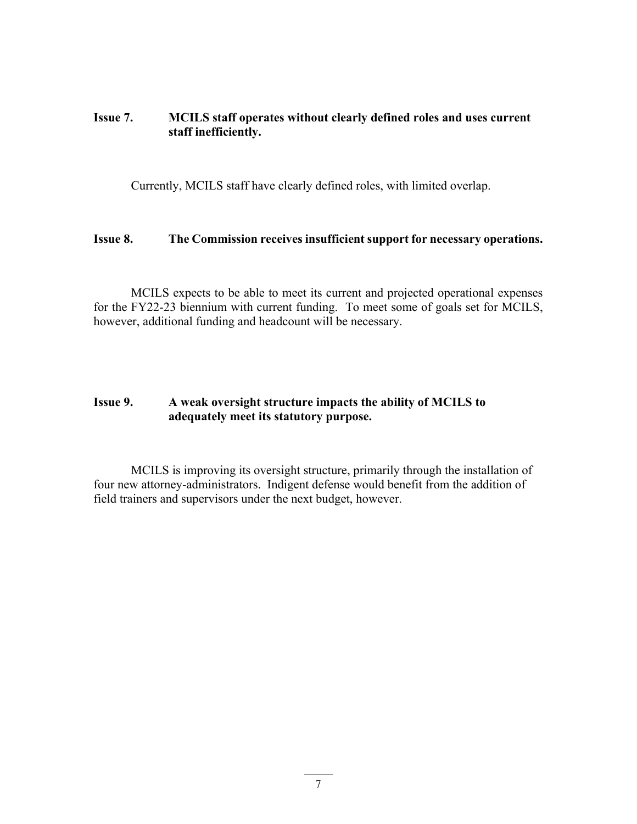## **Issue 7. MCILS staff operates without clearly defined roles and uses current staff inefficiently.**

Currently, MCILS staff have clearly defined roles, with limited overlap.

#### **Issue 8. The Commission receives insufficient support for necessary operations.**

 MCILS expects to be able to meet its current and projected operational expenses for the FY22-23 biennium with current funding. To meet some of goals set for MCILS, however, additional funding and headcount will be necessary.

## **Issue 9. A weak oversight structure impacts the ability of MCILS to adequately meet its statutory purpose.**

 MCILS is improving its oversight structure, primarily through the installation of four new attorney-administrators. Indigent defense would benefit from the addition of field trainers and supervisors under the next budget, however.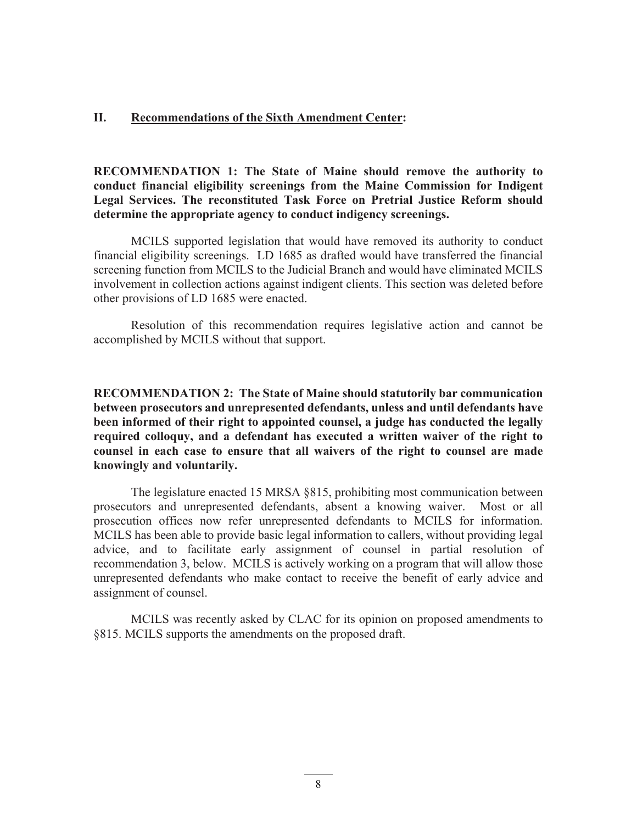#### **II. Recommendations of the Sixth Amendment Center:**

**RECOMMENDATION 1: The State of Maine should remove the authority to conduct financial eligibility screenings from the Maine Commission for Indigent Legal Services. The reconstituted Task Force on Pretrial Justice Reform should determine the appropriate agency to conduct indigency screenings.**

MCILS supported legislation that would have removed its authority to conduct financial eligibility screenings. LD 1685 as drafted would have transferred the financial screening function from MCILS to the Judicial Branch and would have eliminated MCILS involvement in collection actions against indigent clients. This section was deleted before other provisions of LD 1685 were enacted.

Resolution of this recommendation requires legislative action and cannot be accomplished by MCILS without that support.

**RECOMMENDATION 2: The State of Maine should statutorily bar communication between prosecutors and unrepresented defendants, unless and until defendants have been informed of their right to appointed counsel, a judge has conducted the legally required colloquy, and a defendant has executed a written waiver of the right to counsel in each case to ensure that all waivers of the right to counsel are made knowingly and voluntarily.** 

The legislature enacted 15 MRSA §815, prohibiting most communication between prosecutors and unrepresented defendants, absent a knowing waiver. Most or all prosecution offices now refer unrepresented defendants to MCILS for information. MCILS has been able to provide basic legal information to callers, without providing legal advice, and to facilitate early assignment of counsel in partial resolution of recommendation 3, below. MCILS is actively working on a program that will allow those unrepresented defendants who make contact to receive the benefit of early advice and assignment of counsel.

MCILS was recently asked by CLAC for its opinion on proposed amendments to §815. MCILS supports the amendments on the proposed draft.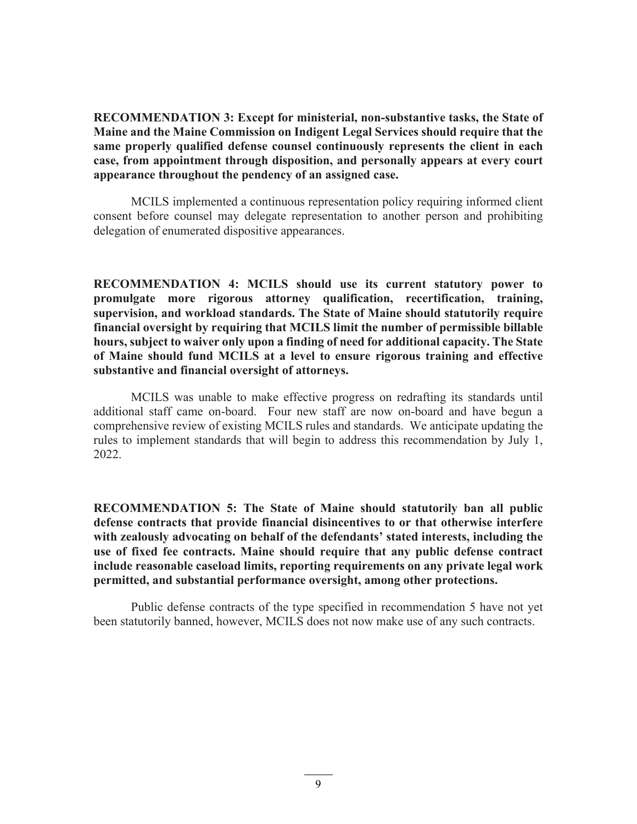**RECOMMENDATION 3: Except for ministerial, non-substantive tasks, the State of Maine and the Maine Commission on Indigent Legal Services should require that the same properly qualified defense counsel continuously represents the client in each case, from appointment through disposition, and personally appears at every court appearance throughout the pendency of an assigned case.** 

 MCILS implemented a continuous representation policy requiring informed client consent before counsel may delegate representation to another person and prohibiting delegation of enumerated dispositive appearances.

**RECOMMENDATION 4: MCILS should use its current statutory power to promulgate more rigorous attorney qualification, recertification, training, supervision, and workload standards. The State of Maine should statutorily require financial oversight by requiring that MCILS limit the number of permissible billable hours, subject to waiver only upon a finding of need for additional capacity. The State of Maine should fund MCILS at a level to ensure rigorous training and effective substantive and financial oversight of attorneys.** 

MCILS was unable to make effective progress on redrafting its standards until additional staff came on-board. Four new staff are now on-board and have begun a comprehensive review of existing MCILS rules and standards. We anticipate updating the rules to implement standards that will begin to address this recommendation by July 1, 2022.

**RECOMMENDATION 5: The State of Maine should statutorily ban all public defense contracts that provide financial disincentives to or that otherwise interfere with zealously advocating on behalf of the defendants' stated interests, including the use of fixed fee contracts. Maine should require that any public defense contract include reasonable caseload limits, reporting requirements on any private legal work permitted, and substantial performance oversight, among other protections.** 

 Public defense contracts of the type specified in recommendation 5 have not yet been statutorily banned, however, MCILS does not now make use of any such contracts.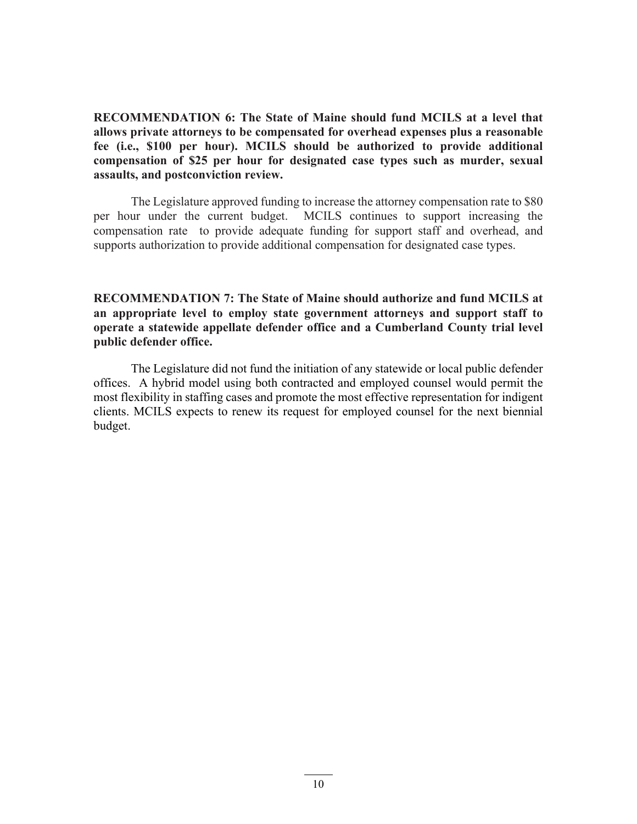**RECOMMENDATION 6: The State of Maine should fund MCILS at a level that allows private attorneys to be compensated for overhead expenses plus a reasonable fee (i.e., \$100 per hour). MCILS should be authorized to provide additional compensation of \$25 per hour for designated case types such as murder, sexual assaults, and postconviction review.** 

 The Legislature approved funding to increase the attorney compensation rate to \$80 per hour under the current budget. MCILS continues to support increasing the compensation rate to provide adequate funding for support staff and overhead, and supports authorization to provide additional compensation for designated case types.

**RECOMMENDATION 7: The State of Maine should authorize and fund MCILS at an appropriate level to employ state government attorneys and support staff to operate a statewide appellate defender office and a Cumberland County trial level public defender office.**

The Legislature did not fund the initiation of any statewide or local public defender offices. A hybrid model using both contracted and employed counsel would permit the most flexibility in staffing cases and promote the most effective representation for indigent clients. MCILS expects to renew its request for employed counsel for the next biennial budget.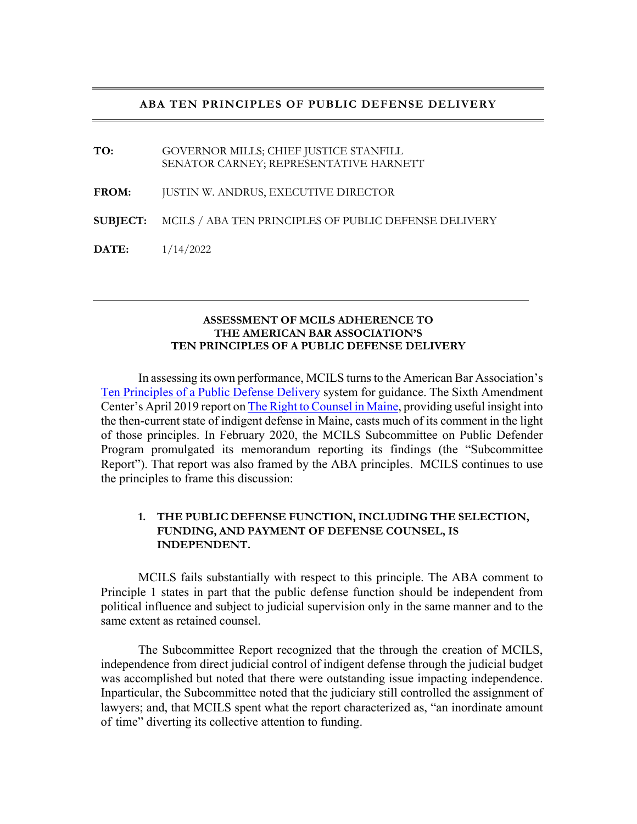#### **ABA TEN PRINCIPLES OF PUBLIC DEFENSE DELIVERY**

**TO:** GOVERNOR MILLS; CHIEF JUSTICE STANFILL SENATOR CARNEY; REPRESENTATIVE HARNETT **FROM:** JUSTIN W. ANDRUS, EXECUTIVE DIRECTOR **SUBJECT:** MCILS / ABA TEN PRINCIPLES OF PUBLIC DEFENSE DELIVERY **DATE:** 1/14/2022

#### **ASSESSMENT OF MCILS ADHERENCE TO THE AMERICAN BAR ASSOCIATION'S TEN PRINCIPLES OF A PUBLIC DEFENSE DELIVERY**

In assessing its own performance, MCILS turns to the American Bar Association's Ten Principles of a Public Defense Delivery system for guidance. The Sixth Amendment Center's April 2019 report on The Right to Counsel in Maine, providing useful insight into the then-current state of indigent defense in Maine, casts much of its comment in the light of those principles. In February 2020, the MCILS Subcommittee on Public Defender Program promulgated its memorandum reporting its findings (the "Subcommittee Report"). That report was also framed by the ABA principles. MCILS continues to use the principles to frame this discussion:

#### **1. THE PUBLIC DEFENSE FUNCTION, INCLUDING THE SELECTION, FUNDING, AND PAYMENT OF DEFENSE COUNSEL, IS INDEPENDENT.**

MCILS fails substantially with respect to this principle. The ABA comment to Principle 1 states in part that the public defense function should be independent from political influence and subject to judicial supervision only in the same manner and to the same extent as retained counsel.

The Subcommittee Report recognized that the through the creation of MCILS, independence from direct judicial control of indigent defense through the judicial budget was accomplished but noted that there were outstanding issue impacting independence. In particular, the Subcommittee noted that the judiciary still controlled the assignment of lawyers; and, that MCILS spent what the report characterized as, "an inordinate amount of time" diverting its collective attention to funding.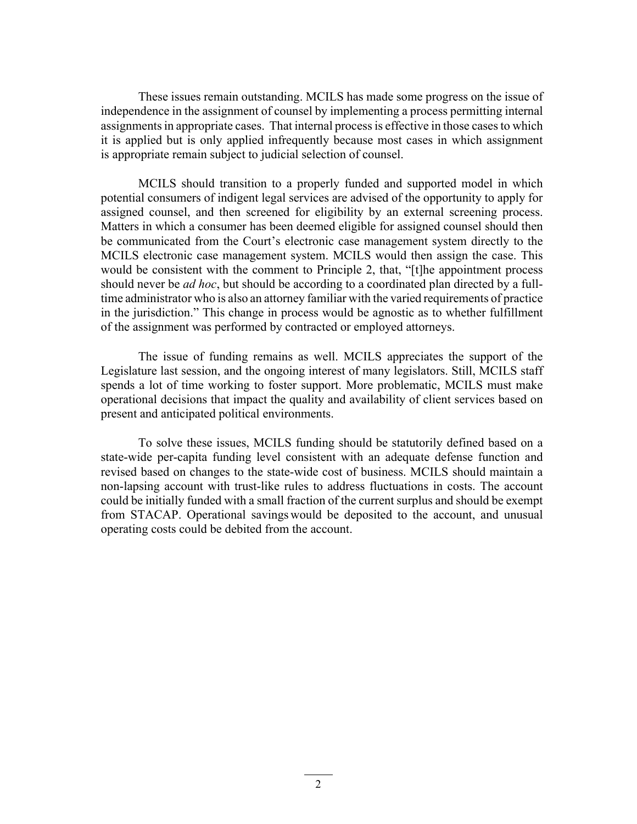These issues remain outstanding. MCILS has made some progress on the issue of independence in the assignment of counsel by implementing a process permitting internal assignments in appropriate cases. That internal process is effective in those cases to which it is applied but is only applied infrequently because most cases in which assignment is appropriate remain subject to judicial selection of counsel.

MCILS should transition to a properly funded and supported model in which potential consumers of indigent legal services are advised of the opportunity to apply for assigned counsel, and then screened for eligibility by an external screening process. Matters in which a consumer has been deemed eligible for assigned counsel should then be communicated from the Court's electronic case management system directly to the MCILS electronic case management system. MCILS would then assign the case. This would be consistent with the comment to Principle 2, that, "[t]he appointment process should never be *ad hoc*, but should be according to a coordinated plan directed by a fulltime administrator who is also an attorney familiar with the varied requirements of practice in the jurisdiction." This change in process would be agnostic as to whether fulfillment of the assignment was performed by contracted or employed attorneys.

The issue of funding remains as well. MCILS appreciates the support of the Legislature last session, and the ongoing interest of many legislators. Still, MCILS staff spends a lot of time working to foster support. More problematic, MCILS must make operational decisions that impact the quality and availability of client services based on present and anticipated political environments.

To solve these issues, MCILS funding should be statutorily defined based on a state-wide per-capita funding level consistent with an adequate defense function and revised based on changes to the state-wide cost of business. MCILS should maintain a non-lapsing account with trust-like rules to address fluctuations in costs. The account could be initially funded with a small fraction of the current surplus and should be exempt from STACAP. Operational savings would be deposited to the account, and unusual operating costs could be debited from the account.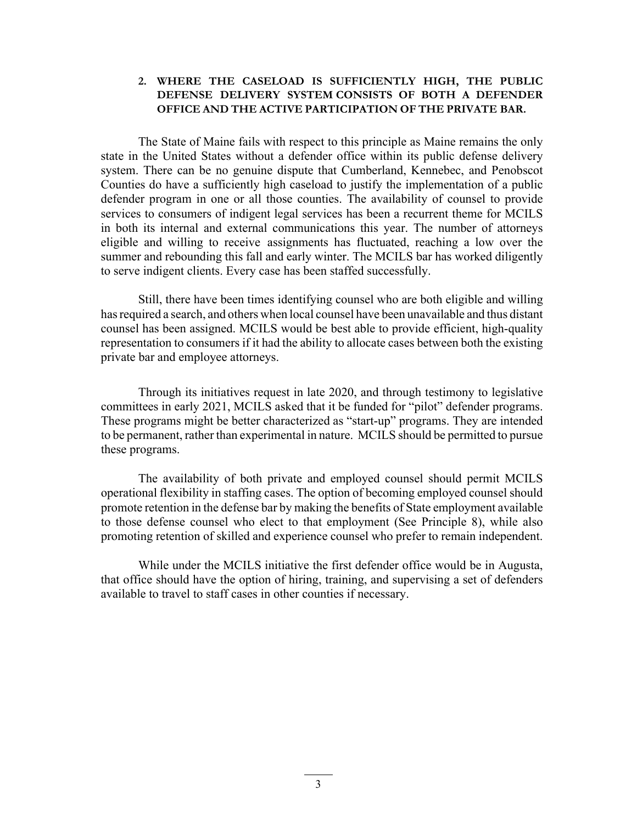#### **2. WHERE THE CASELOAD IS SUFFICIENTLY HIGH, THE PUBLIC DEFENSE DELIVERY SYSTEM CONSISTS OF BOTH A DEFENDER OFFICE AND THE ACTIVE PARTICIPATION OF THE PRIVATE BAR.**

The State of Maine fails with respect to this principle as Maine remains the only state in the United States without a defender office within its public defense delivery system. There can be no genuine dispute that Cumberland, Kennebec, and Penobscot Counties do have a sufficiently high caseload to justify the implementation of a public defender program in one or all those counties. The availability of counsel to provide services to consumers of indigent legal services has been a recurrent theme for MCILS in both its internal and external communications this year. The number of attorneys eligible and willing to receive assignments has fluctuated, reaching a low over the summer and rebounding this fall and early winter. The MCILS bar has worked diligently to serve indigent clients. Every case has been staffed successfully.

Still, there have been times identifying counsel who are both eligible and willing has required a search, and others when local counsel have been unavailable and thus distant counsel has been assigned. MCILS would be best able to provide efficient, high-quality representation to consumers if it had the ability to allocate cases between both the existing private bar and employee attorneys.

Through its initiatives request in late 2020, and through testimony to legislative committees in early 2021, MCILS asked that it be funded for "pilot" defender programs. These programs might be better characterized as "start-up" programs. They are intended to be permanent, rather than experimental in nature. MCILS should be permitted to pursue these programs.

The availability of both private and employed counsel should permit MCILS operational flexibility in staffing cases. The option of becoming employed counsel should promote retention in the defense bar by making the benefits of State employment available to those defense counsel who elect to that employment (See Principle 8), while also promoting retention of skilled and experience counsel who prefer to remain independent.

While under the MCILS initiative the first defender office would be in Augusta, that office should have the option of hiring, training, and supervising a set of defenders available to travel to staff cases in other counties if necessary.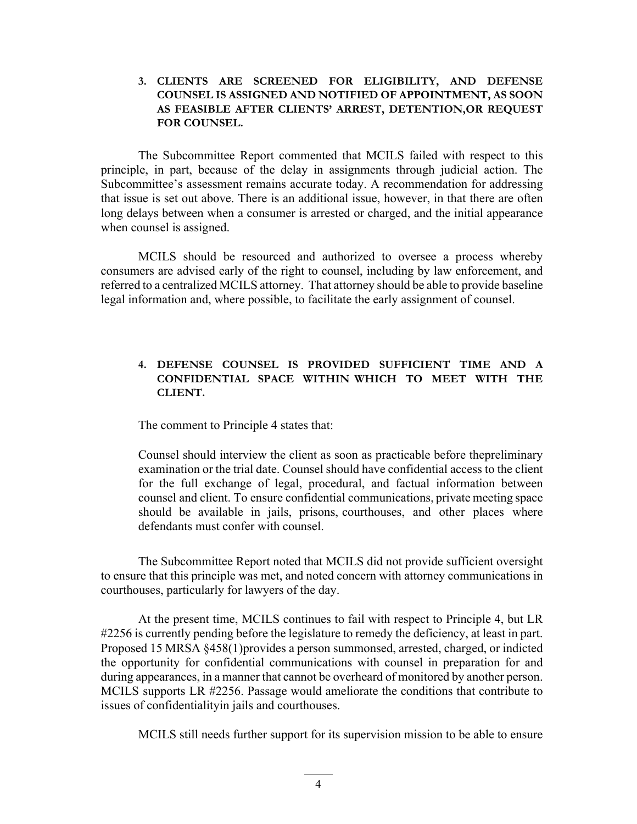#### **3. CLIENTS ARE SCREENED FOR ELIGIBILITY, AND DEFENSE COUNSEL IS ASSIGNED AND NOTIFIED OF APPOINTMENT, AS SOON AS FEASIBLE AFTER CLIENTS' ARREST, DETENTION, OR REQUEST FOR COUNSEL.**

The Subcommittee Report commented that MCILS failed with respect to this principle, in part, because of the delay in assignments through judicial action. The Subcommittee's assessment remains accurate today. A recommendation for addressing that issue is set out above. There is an additional issue, however, in that there are often long delays between when a consumer is arrested or charged, and the initial appearance when counsel is assigned.

MCILS should be resourced and authorized to oversee a process whereby consumers are advised early of the right to counsel, including by law enforcement, and referred to a centralized MCILS attorney. That attorney should be able to provide baseline legal information and, where possible, to facilitate the early assignment of counsel.

### **4. DEFENSE COUNSEL IS PROVIDED SUFFICIENT TIME AND A CONFIDENTIAL SPACE WITHIN WHICH TO MEET WITH THE CLIENT.**

The comment to Principle 4 states that:

Counsel should interview the client as soon as practicable before the preliminary examination or the trial date. Counsel should have confidential access to the client for the full exchange of legal, procedural, and factual information between counsel and client. To ensure confidential communications, private meeting space should be available in jails, prisons, courthouses, and other places where defendants must confer with counsel.

The Subcommittee Report noted that MCILS did not provide sufficient oversight to ensure that this principle was met, and noted concern with attorney communications in courthouses, particularly for lawyers of the day.

At the present time, MCILS continues to fail with respect to Principle 4, but LR #2256 is currently pending before the legislature to remedy the deficiency, at least in part. Proposed 15 MRSA §458(1) provides a person summonsed, arrested, charged, or indicted the opportunity for confidential communications with counsel in preparation for and during appearances, in a manner that cannot be overheard of monitored by another person. MCILS supports LR #2256. Passage would ameliorate the conditions that contribute to issues of confidentiality in jails and courthouses.

MCILS still needs further support for its supervision mission to be able to ensure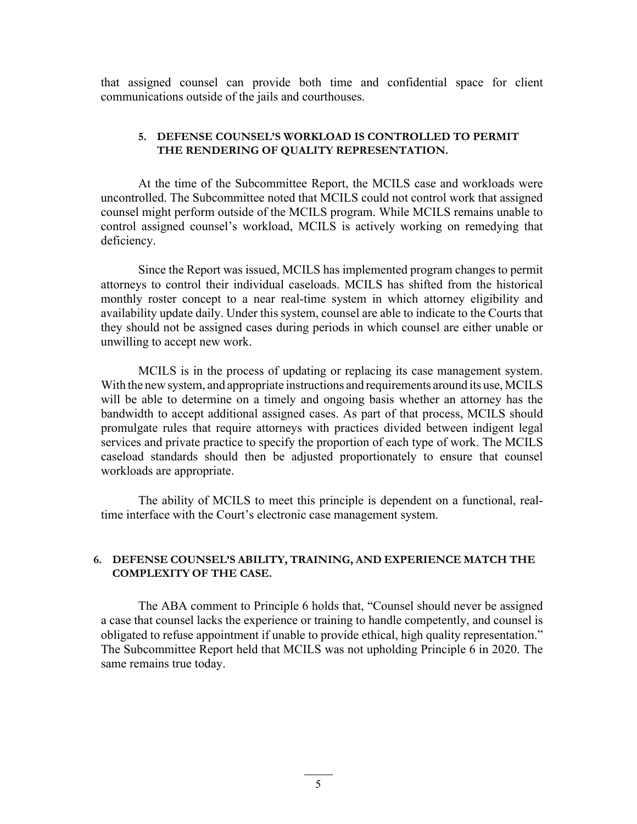that assigned counsel can provide both time and confidential space for client communications outside of the jails and courthouses.

#### **5. DEFENSE COUNSEL'S WORKLOAD IS CONTROLLED TO PERMIT THE RENDERING OF QUALITY REPRESENTATION.**

At the time of the Subcommittee Report, the MCILS case and workloads were uncontrolled. The Subcommittee noted that MCILS could not control work that assigned counsel might perform outside of the MCILS program. While MCILS remains unable to control assigned counsel's workload, MCILS is actively working on remedying that deficiency.

Since the Report was issued, MCILS has implemented program changes to permit attorneys to control their individual caseloads. MCILS has shifted from the historical monthly roster concept to a near real-time system in which attorney eligibility and availability update daily. Under this system, counsel are able to indicate to the Courts that they should not be assigned cases during periods in which counsel are either unable or unwilling to accept new work.

MCILS is in the process of updating or replacing its case management system. With the new system, and appropriate instructions and requirements around its use, MCILS will be able to determine on a timely and ongoing basis whether an attorney has the bandwidth to accept additional assigned cases. As part of that process, MCILS should promulgate rules that require attorneys with practices divided between indigent legal services and private practice to specify the proportion of each type of work. The MCILS caseload standards should then be adjusted proportionately to ensure that counsel workloads are appropriate.

The ability of MCILS to meet this principle is dependent on a functional, realtime interface with the Court's electronic case management system.

#### **6. DEFENSE COUNSEL'S ABILITY, TRAINING, AND EXPERIENCE MATCH THE COMPLEXITY OF THE CASE.**

The ABA comment to Principle 6 holds that, "Counsel should never be assigned a case that counsel lacks the experience or training to handle competently, and counsel is obligated to refuse appointment if unable to provide ethical, high quality representation." The Subcommittee Report held that MCILS was not upholding Principle 6 in 2020. The same remains true today.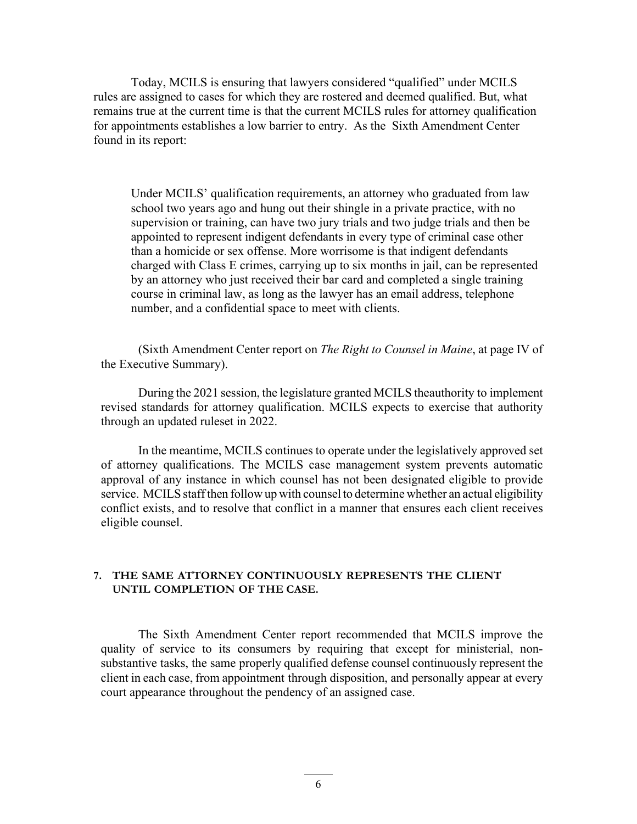Today, MCILS is ensuring that lawyers considered "qualified" under MCILS rules are assigned to cases for which they are rostered and deemed qualified. But, what remains true at the current time is that the current MCILS rules for attorney qualification for appointments establishes a low barrier to entry. As the Sixth Amendment Center found in its report:

Under MCILS' qualification requirements, an attorney who graduated from law school two years ago and hung out their shingle in a private practice, with no supervision or training, can have two jury trials and two judge trials and then be appointed to represent indigent defendants in every type of criminal case other than a homicide or sex offense. More worrisome is that indigent defendants charged with Class E crimes, carrying up to six months in jail, can be represented by an attorney who just received their bar card and completed a single training course in criminal law, as long as the lawyer has an email address, telephone number, and a confidential space to meet with clients.

(Sixth Amendment Center report on *The Right to Counsel in Maine*, at page IV of the Executive Summary).

During the 2021 session, the legislature granted MCILS the authority to implement revised standards for attorney qualification. MCILS expects to exercise that authority through an updated ruleset in 2022.

In the meantime, MCILS continues to operate under the legislatively approved set of attorney qualifications. The MCILS case management system prevents automatic approval of any instance in which counsel has not been designated eligible to provide service. MCILS staff then follow up with counsel to determine whether an actual eligibility conflict exists, and to resolve that conflict in a manner that ensures each client receives eligible counsel.

#### **7. THE SAME ATTORNEY CONTINUOUSLY REPRESENTS THE CLIENT UNTIL COMPLETION OF THE CASE.**

The Sixth Amendment Center report recommended that MCILS improve the quality of service to its consumers by requiring that except for ministerial, nonsubstantive tasks, the same properly qualified defense counsel continuously represent the client in each case, from appointment through disposition, and personally appear at every court appearance throughout the pendency of an assigned case.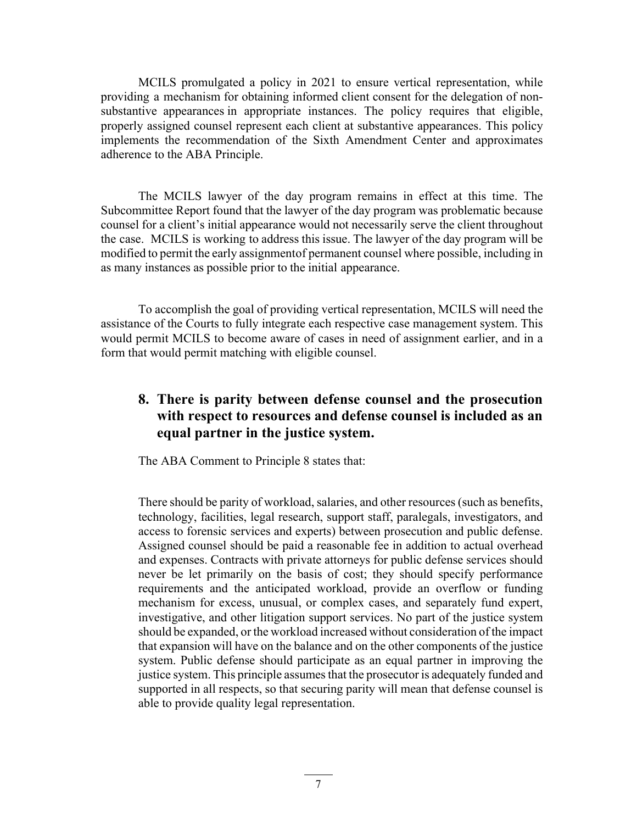MCILS promulgated a policy in 2021 to ensure vertical representation, while providing a mechanism for obtaining informed client consent for the delegation of nonsubstantive appearances in appropriate instances. The policy requires that eligible, properly assigned counsel represent each client at substantive appearances. This policy implements the recommendation of the Sixth Amendment Center and approximates adherence to the ABA Principle.

The MCILS lawyer of the day program remains in effect at this time. The Subcommittee Report found that the lawyer of the day program was problematic because counsel for a client's initial appearance would not necessarily serve the client throughout the case. MCILS is working to address this issue. The lawyer of the day program will be modified to permit the early assignment of permanent counsel where possible, including in as many instances as possible prior to the initial appearance.

To accomplish the goal of providing vertical representation, MCILS will need the assistance of the Courts to fully integrate each respective case management system. This would permit MCILS to become aware of cases in need of assignment earlier, and in a form that would permit matching with eligible counsel.

# **8. There is parity between defense counsel and the prosecution with respect to resources and defense counsel is included as an equal partner in the justice system.**

The ABA Comment to Principle 8 states that:

There should be parity of workload, salaries, and other resources (such as benefits, technology, facilities, legal research, support staff, paralegals, investigators, and access to forensic services and experts) between prosecution and public defense. Assigned counsel should be paid a reasonable fee in addition to actual overhead and expenses. Contracts with private attorneys for public defense services should never be let primarily on the basis of cost; they should specify performance requirements and the anticipated workload, provide an overflow or funding mechanism for excess, unusual, or complex cases, and separately fund expert, investigative, and other litigation support services. No part of the justice system should be expanded, or the workload increased without consideration of the impact that expansion will have on the balance and on the other components of the justice system. Public defense should participate as an equal partner in improving the justice system. This principle assumes that the prosecutor is adequately funded and supported in all respects, so that securing parity will mean that defense counsel is able to provide quality legal representation.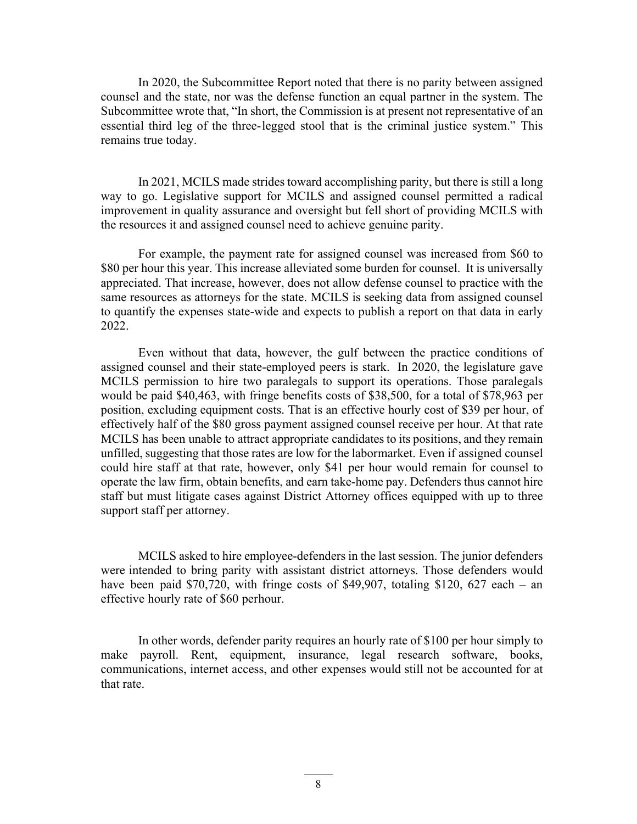In 2020, the Subcommittee Report noted that there is no parity between assigned counsel and the state, nor was the defense function an equal partner in the system. The Subcommittee wrote that, "In short, the Commission is at present not representative of an essential third leg of the three- legged stool that is the criminal justice system." This remains true today.

In 2021, MCILS made strides toward accomplishing parity, but there is still a long way to go. Legislative support for MCILS and assigned counsel permitted a radical improvement in quality assurance and oversight but fell short of providing MCILS with the resources it and assigned counsel need to achieve genuine parity.

For example, the payment rate for assigned counsel was increased from \$60 to \$80 per hour this year. This increase alleviated some burden for counsel. It is universally appreciated. That increase, however, does not allow defense counsel to practice with the same resources as attorneys for the state. MCILS is seeking data from assigned counsel to quantify the expenses state-wide and expects to publish a report on that data in early 2022.

Even without that data, however, the gulf between the practice conditions of assigned counsel and their state-employed peers is stark. In 2020, the legislature gave MCILS permission to hire two paralegals to support its operations. Those paralegals would be paid \$40,463, with fringe benefits costs of \$38,500, for a total of \$78,963 per position, excluding equipment costs. That is an effective hourly cost of \$39 per hour, of effectively half of the \$80 gross payment assigned counsel receive per hour. At that rate MCILS has been unable to attract appropriate candidates to its positions, and they remain unfilled, suggesting that those rates are low for the labor market. Even if assigned counsel could hire staff at that rate, however, only \$41 per hour would remain for counsel to operate the law firm, obtain benefits, and earn take-home pay. Defenders thus cannot hire staff but must litigate cases against District Attorney offices equipped with up to three support staff per attorney.

MCILS asked to hire employee-defenders in the last session. The junior defenders were intended to bring parity with assistant district attorneys. Those defenders would have been paid \$70,720, with fringe costs of \$49,907, totaling \$120, 627 each – an effective hourly rate of \$60 perhour.

In other words, defender parity requires an hourly rate of \$100 per hour simply to make payroll. Rent, equipment, insurance, legal research software, books, communications, internet access, and other expenses would still not be accounted for at that rate.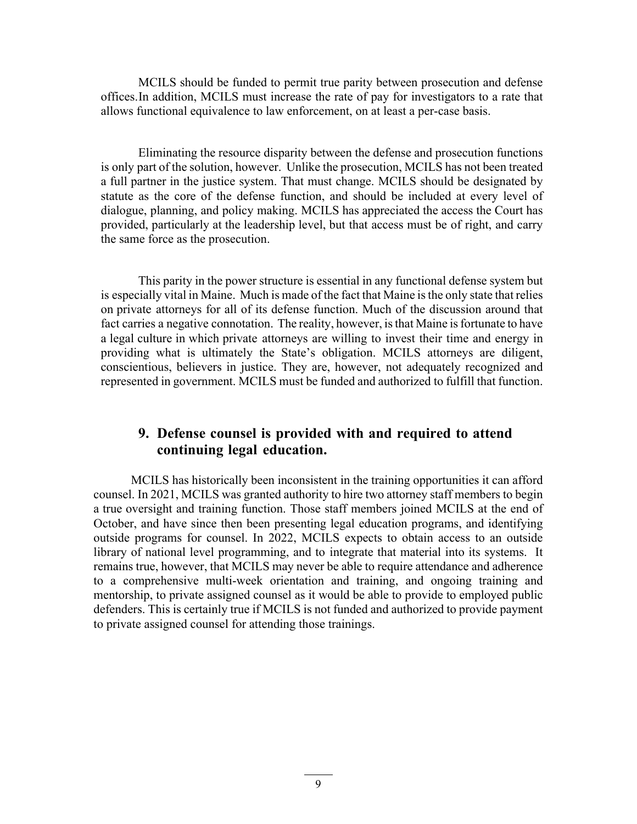MCILS should be funded to permit true parity between prosecution and defense offices. In addition, MCILS must increase the rate of pay for investigators to a rate that allows functional equivalence to law enforcement, on at least a per-case basis.

Eliminating the resource disparity between the defense and prosecution functions is only part of the solution, however. Unlike the prosecution, MCILS has not been treated a full partner in the justice system. That must change. MCILS should be designated by statute as the core of the defense function, and should be included at every level of dialogue, planning, and policy making. MCILS has appreciated the access the Court has provided, particularly at the leadership level, but that access must be of right, and carry the same force as the prosecution.

This parity in the power structure is essential in any functional defense system but is especially vital in Maine. Much is made of the fact that Maine is the only state that relies on private attorneys for all of its defense function. Much of the discussion around that fact carries a negative connotation. The reality, however, is that Maine is fortunate to have a legal culture in which private attorneys are willing to invest their time and energy in providing what is ultimately the State's obligation. MCILS attorneys are diligent, conscientious, believers in justice. They are, however, not adequately recognized and represented in government. MCILS must be funded and authorized to fulfill that function.

# **9. Defense counsel is provided with and required to attend continuing legal education.**

MCILS has historically been inconsistent in the training opportunities it can afford counsel. In 2021, MCILS was granted authority to hire two attorney staff members to begin a true oversight and training function. Those staff members joined MCILS at the end of October, and have since then been presenting legal education programs, and identifying outside programs for counsel. In 2022, MCILS expects to obtain access to an outside library of national level programming, and to integrate that material into its systems. It remains true, however, that MCILS may never be able to require attendance and adherence to a comprehensive multi-week orientation and training, and ongoing training and mentorship, to private assigned counsel as it would be able to provide to employed public defenders. This is certainly true if MCILS is not funded and authorized to provide payment to private assigned counsel for attending those trainings.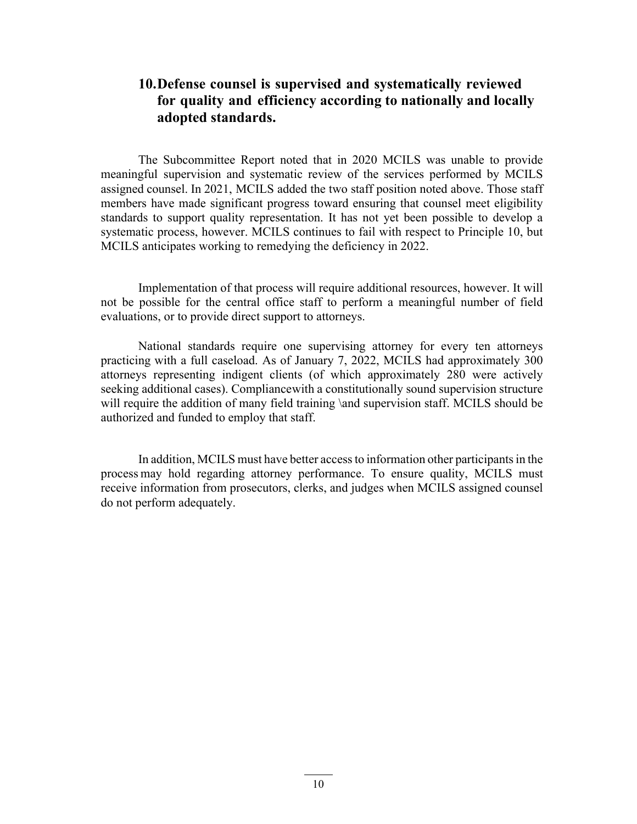# **10.Defense counsel is supervised and systematically reviewed for quality and efficiency according to nationally and locally adopted standards.**

The Subcommittee Report noted that in 2020 MCILS was unable to provide meaningful supervision and systematic review of the services performed by MCILS assigned counsel. In 2021, MCILS added the two staff position noted above. Those staff members have made significant progress toward ensuring that counsel meet eligibility standards to support quality representation. It has not yet been possible to develop a systematic process, however. MCILS continues to fail with respect to Principle 10, but MCILS anticipates working to remedying the deficiency in 2022.

Implementation of that process will require additional resources, however. It will not be possible for the central office staff to perform a meaningful number of field evaluations, or to provide direct support to attorneys.

National standards require one supervising attorney for every ten attorneys practicing with a full caseload. As of January 7, 2022, MCILS had approximately 300 attorneys representing indigent clients (of which approximately 280 were actively seeking additional cases). Compliance with a constitutionally sound supervision structure will require the addition of many field training \and supervision staff. MCILS should be authorized and funded to employ that staff.

In addition, MCILS must have better access to information other participants in the process may hold regarding attorney performance. To ensure quality, MCILS must receive information from prosecutors, clerks, and judges when MCILS assigned counsel do not perform adequately.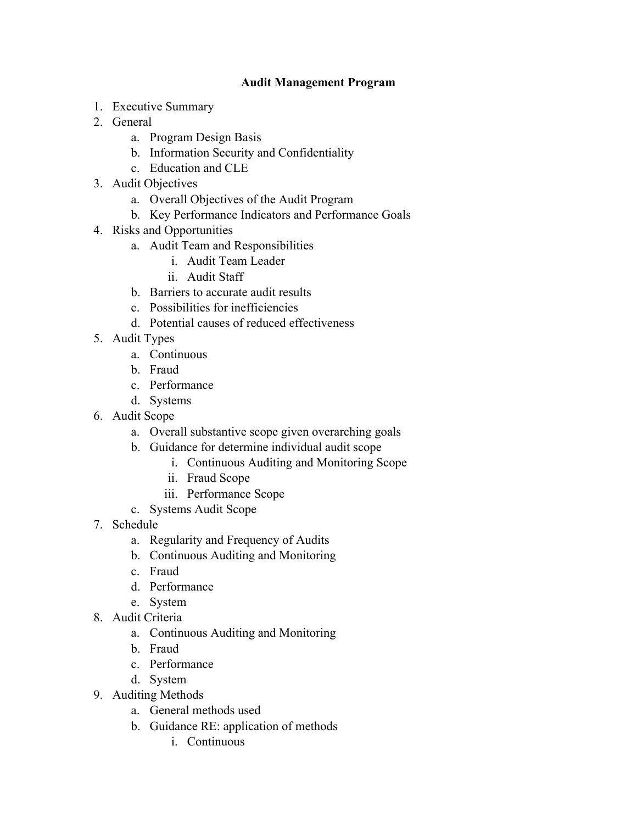# **Audit Management Program**

- 1. Executive Summary
- 2. General
	- a. Program Design Basis
	- b. Information Security and Confidentiality
	- c. Education and CLE
- 3. Audit Objectives
	- a. Overall Objectives of the Audit Program
	- b. Key Performance Indicators and Performance Goals
- 4. Risks and Opportunities
	- a. Audit Team and Responsibilities
		- i. Audit Team Leader
		- ii. Audit Staff
	- b. Barriers to accurate audit results
	- c. Possibilities for inefficiencies
	- d. Potential causes of reduced effectiveness
- 5. Audit Types
	- a. Continuous
	- b. Fraud
	- c. Performance
	- d. Systems
- 6. Audit Scope
	- a. Overall substantive scope given overarching goals
	- b. Guidance for determine individual audit scope
		- i. Continuous Auditing and Monitoring Scope
		- ii. Fraud Scope
		- iii. Performance Scope
	- c. Systems Audit Scope
- 7. Schedule
	- a. Regularity and Frequency of Audits
	- b. Continuous Auditing and Monitoring
	- c. Fraud
	- d. Performance
	- e. System
- 8. Audit Criteria
	- a. Continuous Auditing and Monitoring
	- b. Fraud
	- c. Performance
	- d. System
- 9. Auditing Methods
	- a. General methods used
	- b. Guidance RE: application of methods
		- i. Continuous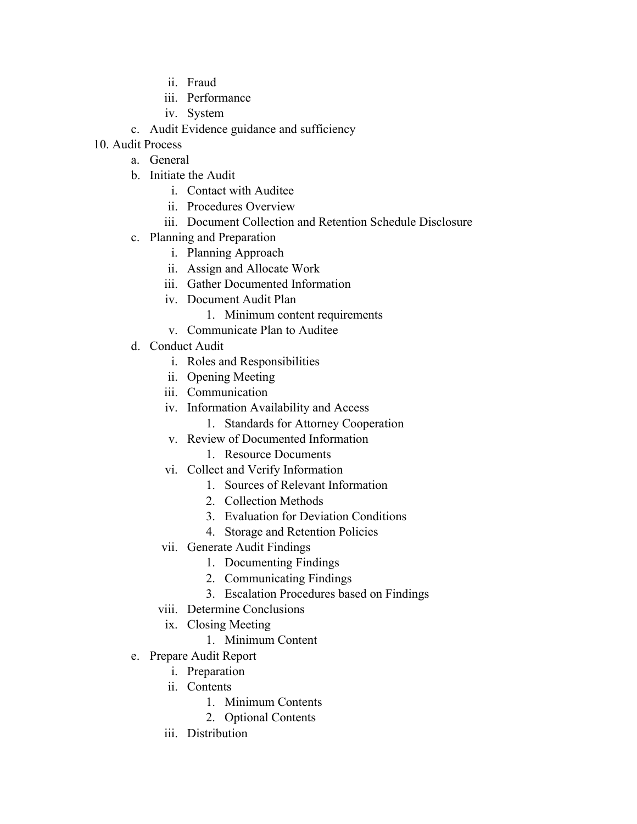- ii. Fraud
- iii. Performance
- iv. System
- c. Audit Evidence guidance and sufficiency
- 10. Audit Process
	- a. General
	- b. Initiate the Audit
		- i. Contact with Auditee
		- ii. Procedures Overview
		- iii. Document Collection and Retention Schedule Disclosure
	- c. Planning and Preparation
		- i. Planning Approach
		- ii. Assign and Allocate Work
		- iii. Gather Documented Information
		- iv. Document Audit Plan
			- 1. Minimum content requirements
		- v. Communicate Plan to Auditee
	- d. Conduct Audit
		- i. Roles and Responsibilities
		- ii. Opening Meeting
		- iii. Communication
		- iv. Information Availability and Access
			- 1. Standards for Attorney Cooperation
		- v. Review of Documented Information
			- 1. Resource Documents
		- vi. Collect and Verify Information
			- 1. Sources of Relevant Information
			- 2. Collection Methods
			- 3. Evaluation for Deviation Conditions
			- 4. Storage and Retention Policies
		- vii. Generate Audit Findings
			- 1. Documenting Findings
			- 2. Communicating Findings
			- 3. Escalation Procedures based on Findings
		- viii. Determine Conclusions
			- ix. Closing Meeting
				- 1. Minimum Content
	- e. Prepare Audit Report
		- i. Preparation
		- ii. Contents
			- 1. Minimum Contents
			- 2. Optional Contents
		- iii. Distribution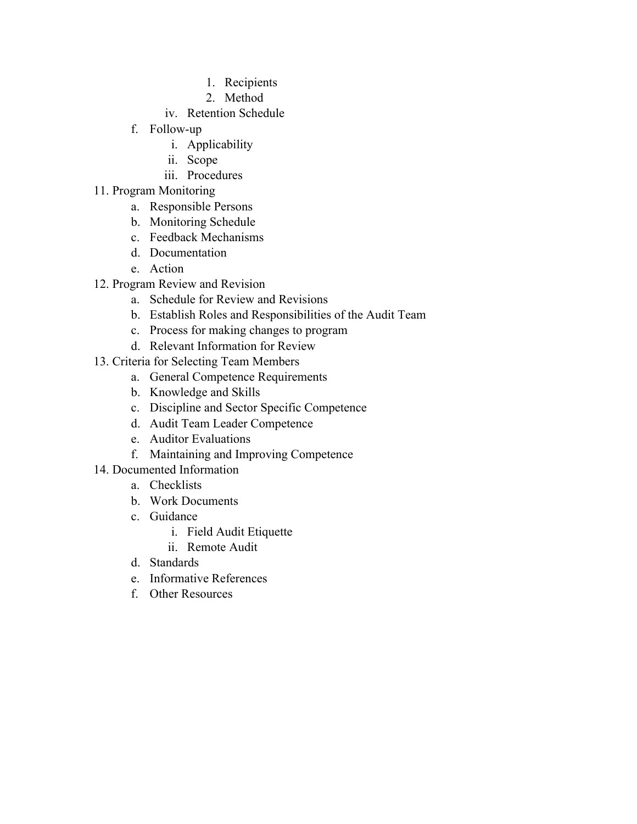- 1. Recipients
- 2. Method
- iv. Retention Schedule
- f. Follow-up
	- i. Applicability
	- ii. Scope
	- iii. Procedures
- 11. Program Monitoring
	- a. Responsible Persons
	- b. Monitoring Schedule
	- c. Feedback Mechanisms
	- d. Documentation
	- e. Action
- 12. Program Review and Revision
	- a. Schedule for Review and Revisions
	- b. Establish Roles and Responsibilities of the Audit Team
	- c. Process for making changes to program
	- d. Relevant Information for Review
- 13. Criteria for Selecting Team Members
	- a. General Competence Requirements
	- b. Knowledge and Skills
	- c. Discipline and Sector Specific Competence
	- d. Audit Team Leader Competence
	- e. Auditor Evaluations
	- f. Maintaining and Improving Competence
- 14. Documented Information
	- a. Checklists
	- b. Work Documents
	- c. Guidance
		- i. Field Audit Etiquette
		- ii. Remote Audit
	- d. Standards
	- e. Informative References
	- f. Other Resources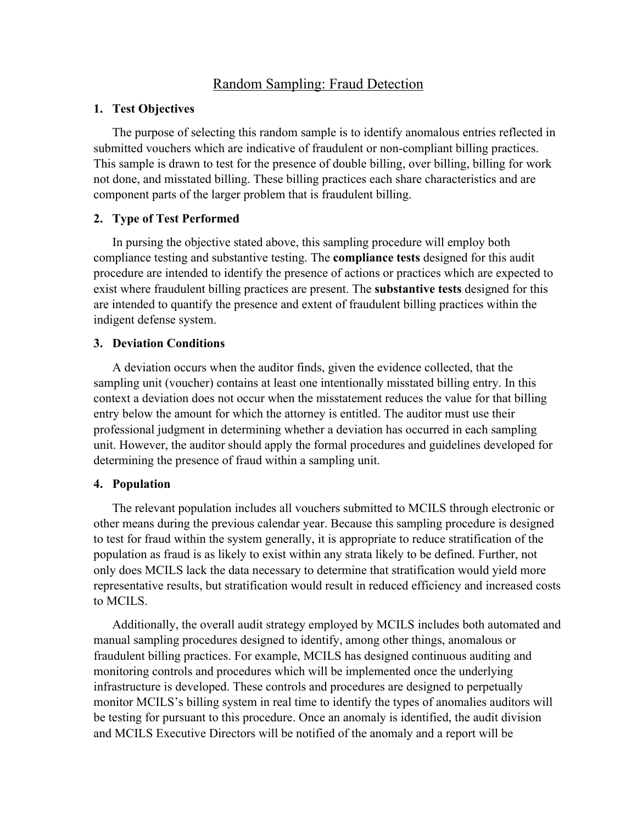# Random Sampling: Fraud Detection

#### **1. Test Objectives**

The purpose of selecting this random sample is to identify anomalous entries reflected in submitted vouchers which are indicative of fraudulent or non-compliant billing practices. This sample is drawn to test for the presence of double billing, over billing, billing for work not done, and misstated billing. These billing practices each share characteristics and are component parts of the larger problem that is fraudulent billing.

### **2. Type of Test Performed**

In pursing the objective stated above, this sampling procedure will employ both compliance testing and substantive testing. The **compliance tests** designed for this audit procedure are intended to identify the presence of actions or practices which are expected to exist where fraudulent billing practices are present. The **substantive tests** designed for this are intended to quantify the presence and extent of fraudulent billing practices within the indigent defense system.

### **3. Deviation Conditions**

A deviation occurs when the auditor finds, given the evidence collected, that the sampling unit (voucher) contains at least one intentionally misstated billing entry. In this context a deviation does not occur when the misstatement reduces the value for that billing entry below the amount for which the attorney is entitled. The auditor must use their professional judgment in determining whether a deviation has occurred in each sampling unit. However, the auditor should apply the formal procedures and guidelines developed for determining the presence of fraud within a sampling unit.

### **4. Population**

The relevant population includes all vouchers submitted to MCILS through electronic or other means during the previous calendar year. Because this sampling procedure is designed to test for fraud within the system generally, it is appropriate to reduce stratification of the population as fraud is as likely to exist within any strata likely to be defined. Further, not only does MCILS lack the data necessary to determine that stratification would yield more representative results, but stratification would result in reduced efficiency and increased costs to MCILS.

Additionally, the overall audit strategy employed by MCILS includes both automated and manual sampling procedures designed to identify, among other things, anomalous or fraudulent billing practices. For example, MCILS has designed continuous auditing and monitoring controls and procedures which will be implemented once the underlying infrastructure is developed. These controls and procedures are designed to perpetually monitor MCILS's billing system in real time to identify the types of anomalies auditors will be testing for pursuant to this procedure. Once an anomaly is identified, the audit division and MCILS Executive Directors will be notified of the anomaly and a report will be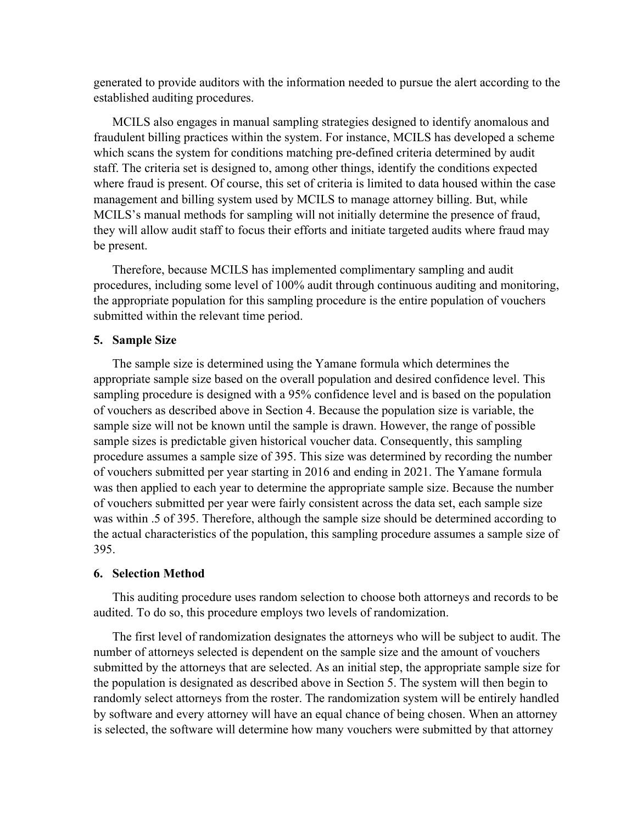generated to provide auditors with the information needed to pursue the alert according to the established auditing procedures.

MCILS also engages in manual sampling strategies designed to identify anomalous and fraudulent billing practices within the system. For instance, MCILS has developed a scheme which scans the system for conditions matching pre-defined criteria determined by audit staff. The criteria set is designed to, among other things, identify the conditions expected where fraud is present. Of course, this set of criteria is limited to data housed within the case management and billing system used by MCILS to manage attorney billing. But, while MCILS's manual methods for sampling will not initially determine the presence of fraud, they will allow audit staff to focus their efforts and initiate targeted audits where fraud may be present.

Therefore, because MCILS has implemented complimentary sampling and audit procedures, including some level of 100% audit through continuous auditing and monitoring, the appropriate population for this sampling procedure is the entire population of vouchers submitted within the relevant time period.

#### **5. Sample Size**

The sample size is determined using the Yamane formula which determines the appropriate sample size based on the overall population and desired confidence level. This sampling procedure is designed with a 95% confidence level and is based on the population of vouchers as described above in Section 4. Because the population size is variable, the sample size will not be known until the sample is drawn. However, the range of possible sample sizes is predictable given historical voucher data. Consequently, this sampling procedure assumes a sample size of 395. This size was determined by recording the number of vouchers submitted per year starting in 2016 and ending in 2021. The Yamane formula was then applied to each year to determine the appropriate sample size. Because the number of vouchers submitted per year were fairly consistent across the data set, each sample size was within .5 of 395. Therefore, although the sample size should be determined according to the actual characteristics of the population, this sampling procedure assumes a sample size of 395.

#### **6. Selection Method**

This auditing procedure uses random selection to choose both attorneys and records to be audited. To do so, this procedure employs two levels of randomization.

The first level of randomization designates the attorneys who will be subject to audit. The number of attorneys selected is dependent on the sample size and the amount of vouchers submitted by the attorneys that are selected. As an initial step, the appropriate sample size for the population is designated as described above in Section 5. The system will then begin to randomly select attorneys from the roster. The randomization system will be entirely handled by software and every attorney will have an equal chance of being chosen. When an attorney is selected, the software will determine how many vouchers were submitted by that attorney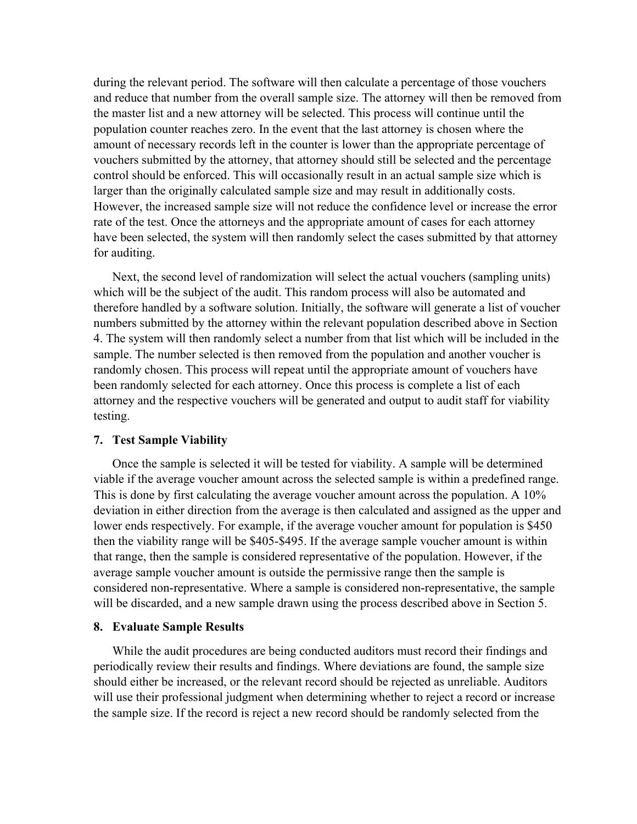during the relevant period. The software will then calculate a percentage of those vouchers and reduce that number from the overall sample size. The attorney will then be removed from the master list and a new attorney will be selected. This process will continue until the population counter reaches zero. In the event that the last attorney is chosen where the amount of necessary records left in the counter is lower than the appropriate percentage of vouchers submitted by the attorney, that attorney should still be selected and the percentage control should be enforced. This will occasionally result in an actual sample size which is larger than the originally calculated sample size and may result in additionally costs. However, the increased sample size will not reduce the confidence level or increase the error rate of the test. Once the attorneys and the appropriate amount of cases for each attorney have been selected, the system will then randomly select the cases submitted by that attorney for auditing.

Next, the second level of randomization will select the actual vouchers (sampling units) which will be the subject of the audit. This random process will also be automated and therefore handled by a software solution. Initially, the software will generate a list of voucher numbers submitted by the attorney within the relevant population described above in Section 4. The system will then randomly select a number from that list which will be included in the sample. The number selected is then removed from the population and another voucher is randomly chosen. This process will repeat until the appropriate amount of vouchers have been randomly selected for each attorney. Once this process is complete a list of each attorney and the respective vouchers will be generated and output to audit staff for viability testing.

#### **7. Test Sample Viability**

Once the sample is selected it will be tested for viability. A sample will be determined viable if the average voucher amount across the selected sample is within a predefined range. This is done by first calculating the average voucher amount across the population. A 10% deviation in either direction from the average is then calculated and assigned as the upper and lower ends respectively. For example, if the average voucher amount for population is \$450 then the viability range will be \$405-\$495. If the average sample voucher amount is within that range, then the sample is considered representative of the population. However, if the average sample voucher amount is outside the permissive range then the sample is considered non-representative. Where a sample is considered non-representative, the sample will be discarded, and a new sample drawn using the process described above in Section 5.

#### **8. Evaluate Sample Results**

While the audit procedures are being conducted auditors must record their findings and periodically review their results and findings. Where deviations are found, the sample size should either be increased, or the relevant record should be rejected as unreliable. Auditors will use their professional judgment when determining whether to reject a record or increase the sample size. If the record is reject a new record should be randomly selected from the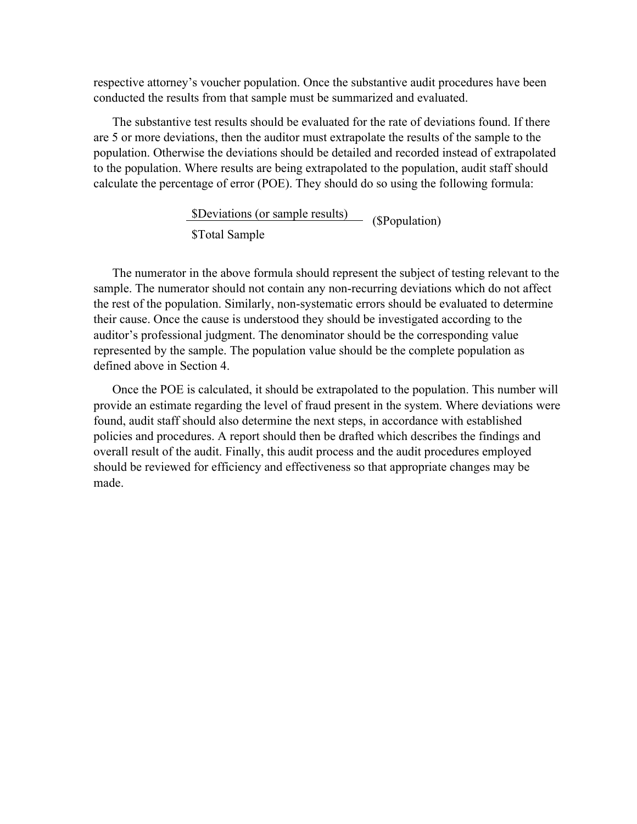respective attorney's voucher population. Once the substantive audit procedures have been conducted the results from that sample must be summarized and evaluated.

The substantive test results should be evaluated for the rate of deviations found. If there are 5 or more deviations, then the auditor must extrapolate the results of the sample to the population. Otherwise the deviations should be detailed and recorded instead of extrapolated to the population. Where results are being extrapolated to the population, audit staff should calculate the percentage of error (POE). They should do so using the following formula:

> \$Deviations (or sample results) (\$Population) \$Total Sample

The numerator in the above formula should represent the subject of testing relevant to the sample. The numerator should not contain any non-recurring deviations which do not affect the rest of the population. Similarly, non-systematic errors should be evaluated to determine their cause. Once the cause is understood they should be investigated according to the auditor's professional judgment. The denominator should be the corresponding value represented by the sample. The population value should be the complete population as defined above in Section 4.

Once the POE is calculated, it should be extrapolated to the population. This number will provide an estimate regarding the level of fraud present in the system. Where deviations were found, audit staff should also determine the next steps, in accordance with established policies and procedures. A report should then be drafted which describes the findings and overall result of the audit. Finally, this audit process and the audit procedures employed should be reviewed for efficiency and effectiveness so that appropriate changes may be made.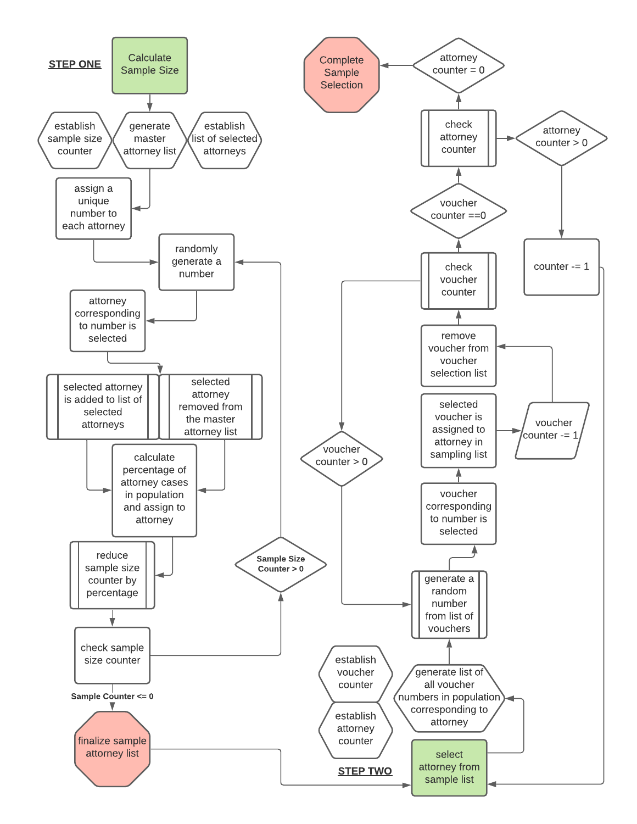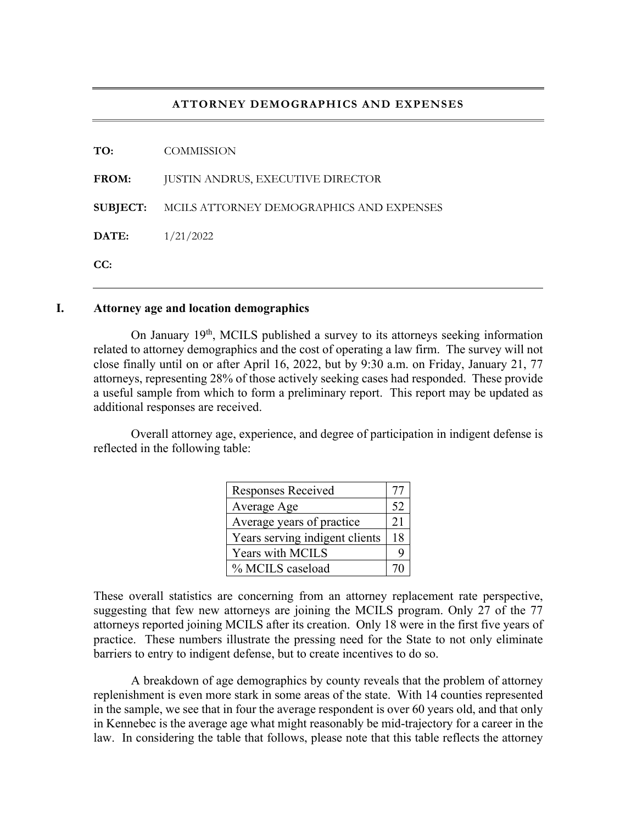#### **ATTORNEY DEMOGRAPHICS AND EXPENSES**

| <b>COMMISSION</b>                                        |
|----------------------------------------------------------|
| <b>JUSTIN ANDRUS, EXECUTIVE DIRECTOR</b>                 |
| <b>SUBJECT:</b> MCILS ATTORNEY DEMOGRAPHICS AND EXPENSES |
| 1/21/2022                                                |
|                                                          |
|                                                          |

#### **I. Attorney age and location demographics**

On January 19<sup>th</sup>, MCILS published a survey to its attorneys seeking information related to attorney demographics and the cost of operating a law firm. The survey will not close finally until on or after April 16, 2022, but by 9:30 a.m. on Friday, January 21, 77 attorneys, representing 28% of those actively seeking cases had responded. These provide a useful sample from which to form a preliminary report. This report may be updated as additional responses are received.

 Overall attorney age, experience, and degree of participation in indigent defense is reflected in the following table:

| Responses Received             |    |
|--------------------------------|----|
| Average Age                    | 52 |
| Average years of practice      | 21 |
| Years serving indigent clients | 18 |
| Years with MCILS               |    |
| % MCILS caseload               |    |

These overall statistics are concerning from an attorney replacement rate perspective, suggesting that few new attorneys are joining the MCILS program. Only 27 of the 77 attorneys reported joining MCILS after its creation. Only 18 were in the first five years of practice. These numbers illustrate the pressing need for the State to not only eliminate barriers to entry to indigent defense, but to create incentives to do so.

 A breakdown of age demographics by county reveals that the problem of attorney replenishment is even more stark in some areas of the state. With 14 counties represented in the sample, we see that in four the average respondent is over 60 years old, and that only in Kennebec is the average age what might reasonably be mid-trajectory for a career in the law. In considering the table that follows, please note that this table reflects the attorney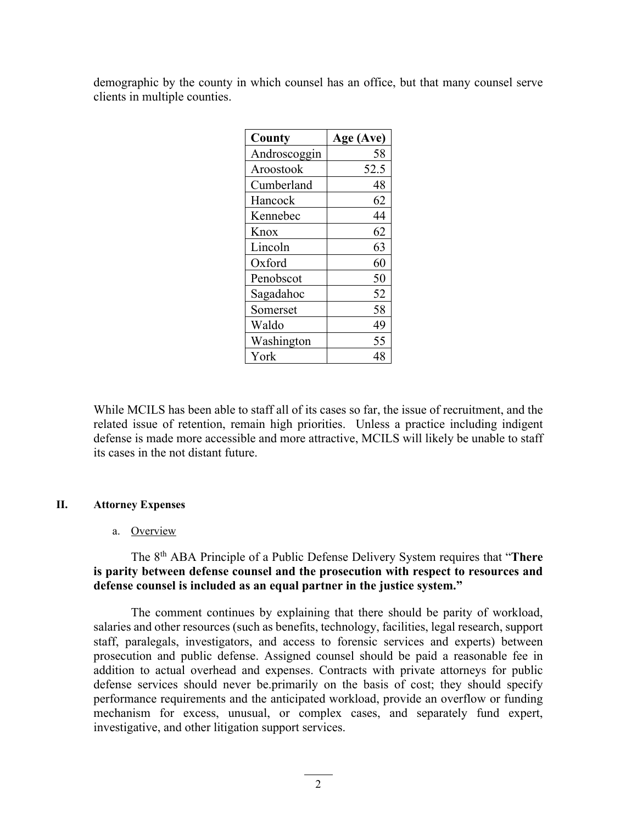demographic by the county in which counsel has an office, but that many counsel serve clients in multiple counties.

| County       | Age (Ave) |  |
|--------------|-----------|--|
| Androscoggin | 58        |  |
| Aroostook    | 52.5      |  |
| Cumberland   | 48        |  |
| Hancock      | 62        |  |
| Kennebec     | 44        |  |
| Knox         | 62        |  |
| Lincoln      | 63        |  |
| Oxford       | 60        |  |
| Penobscot    | 50        |  |
| Sagadahoc    | 52        |  |
| Somerset     | 58        |  |
| Waldo        | 49        |  |
| Washington   | 55        |  |
| York         | 48        |  |

While MCILS has been able to staff all of its cases so far, the issue of recruitment, and the related issue of retention, remain high priorities. Unless a practice including indigent defense is made more accessible and more attractive, MCILS will likely be unable to staff its cases in the not distant future.

#### **II. Attorney Expenses**

#### a. Overview

# The 8th ABA Principle of a Public Defense Delivery System requires that "**There is parity between defense counsel and the prosecution with respect to resources and defense counsel is included as an equal partner in the justice system."**

The comment continues by explaining that there should be parity of workload, salaries and other resources (such as benefits, technology, facilities, legal research, support staff, paralegals, investigators, and access to forensic services and experts) between prosecution and public defense. Assigned counsel should be paid a reasonable fee in addition to actual overhead and expenses. Contracts with private attorneys for public defense services should never be.primarily on the basis of cost; they should specify performance requirements and the anticipated workload, provide an overflow or funding mechanism for excess, unusual, or complex cases, and separately fund expert, investigative, and other litigation support services.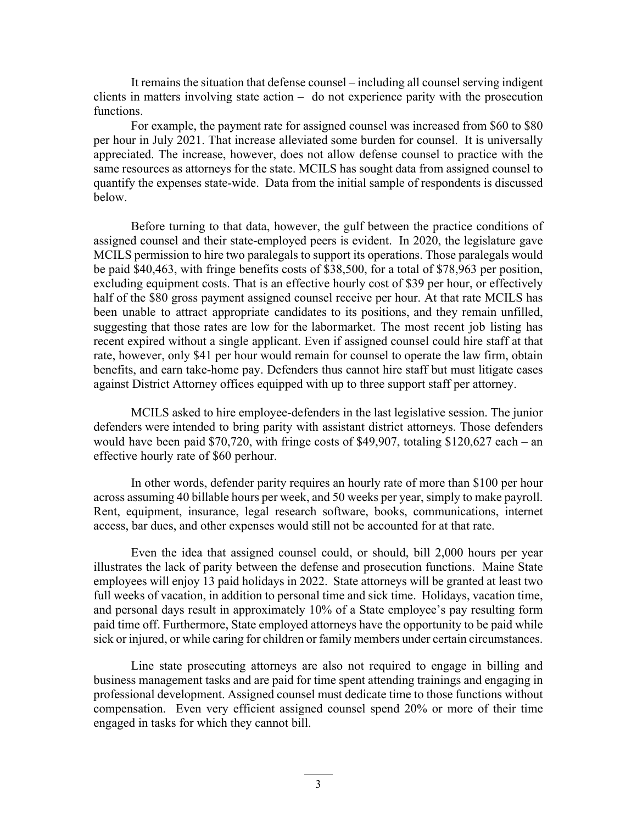It remains the situation that defense counsel – including all counsel serving indigent clients in matters involving state action – do not experience parity with the prosecution functions.

For example, the payment rate for assigned counsel was increased from \$60 to \$80 per hour in July 2021. That increase alleviated some burden for counsel. It is universally appreciated. The increase, however, does not allow defense counsel to practice with the same resources as attorneys for the state. MCILS has sought data from assigned counsel to quantify the expenses state-wide. Data from the initial sample of respondents is discussed below.

Before turning to that data, however, the gulf between the practice conditions of assigned counsel and their state-employed peers is evident. In 2020, the legislature gave MCILS permission to hire two paralegals to support its operations. Those paralegals would be paid \$40,463, with fringe benefits costs of \$38,500, for a total of \$78,963 per position, excluding equipment costs. That is an effective hourly cost of \$39 per hour, or effectively half of the \$80 gross payment assigned counsel receive per hour. At that rate MCILS has been unable to attract appropriate candidates to its positions, and they remain unfilled, suggesting that those rates are low for the labor market. The most recent job listing has recent expired without a single applicant. Even if assigned counsel could hire staff at that rate, however, only \$41 per hour would remain for counsel to operate the law firm, obtain benefits, and earn take-home pay. Defenders thus cannot hire staff but must litigate cases against District Attorney offices equipped with up to three support staff per attorney.

MCILS asked to hire employee-defenders in the last legislative session. The junior defenders were intended to bring parity with assistant district attorneys. Those defenders would have been paid \$70,720, with fringe costs of \$49,907, totaling \$120,627 each – an effective hourly rate of \$60 perhour.

In other words, defender parity requires an hourly rate of more than \$100 per hour across assuming 40 billable hours per week, and 50 weeks per year, simply to make payroll. Rent, equipment, insurance, legal research software, books, communications, internet access, bar dues, and other expenses would still not be accounted for at that rate.

Even the idea that assigned counsel could, or should, bill 2,000 hours per year illustrates the lack of parity between the defense and prosecution functions. Maine State employees will enjoy 13 paid holidays in 2022. State attorneys will be granted at least two full weeks of vacation, in addition to personal time and sick time. Holidays, vacation time, and personal days result in approximately 10% of a State employee's pay resulting form paid time off. Furthermore, State employed attorneys have the opportunity to be paid while sick or injured, or while caring for children or family members under certain circumstances.

Line state prosecuting attorneys are also not required to engage in billing and business management tasks and are paid for time spent attending trainings and engaging in professional development. Assigned counsel must dedicate time to those functions without compensation. Even very efficient assigned counsel spend 20% or more of their time engaged in tasks for which they cannot bill.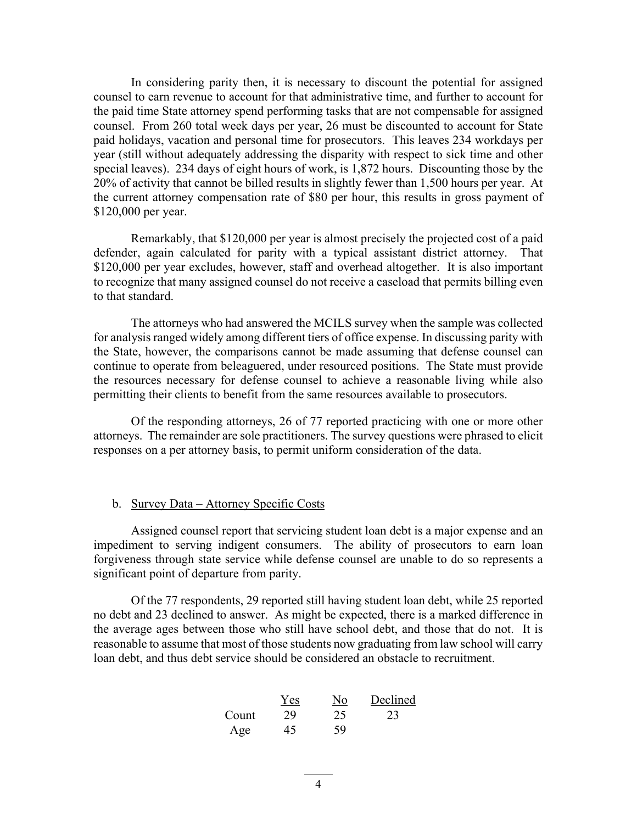In considering parity then, it is necessary to discount the potential for assigned counsel to earn revenue to account for that administrative time, and further to account for the paid time State attorney spend performing tasks that are not compensable for assigned counsel. From 260 total week days per year, 26 must be discounted to account for State paid holidays, vacation and personal time for prosecutors. This leaves 234 workdays per year (still without adequately addressing the disparity with respect to sick time and other special leaves). 234 days of eight hours of work, is 1,872 hours. Discounting those by the 20% of activity that cannot be billed results in slightly fewer than 1,500 hours per year. At the current attorney compensation rate of \$80 per hour, this results in gross payment of \$120,000 per year.

Remarkably, that \$120,000 per year is almost precisely the projected cost of a paid defender, again calculated for parity with a typical assistant district attorney. That \$120,000 per year excludes, however, staff and overhead altogether. It is also important to recognize that many assigned counsel do not receive a caseload that permits billing even to that standard.

The attorneys who had answered the MCILS survey when the sample was collected for analysis ranged widely among different tiers of office expense. In discussing parity with the State, however, the comparisons cannot be made assuming that defense counsel can continue to operate from beleaguered, under resourced positions. The State must provide the resources necessary for defense counsel to achieve a reasonable living while also permitting their clients to benefit from the same resources available to prosecutors.

Of the responding attorneys, 26 of 77 reported practicing with one or more other attorneys. The remainder are sole practitioners. The survey questions were phrased to elicit responses on a per attorney basis, to permit uniform consideration of the data.

#### b. Survey Data – Attorney Specific Costs

Assigned counsel report that servicing student loan debt is a major expense and an impediment to serving indigent consumers. The ability of prosecutors to earn loan forgiveness through state service while defense counsel are unable to do so represents a significant point of departure from parity.

Of the 77 respondents, 29 reported still having student loan debt, while 25 reported no debt and 23 declined to answer. As might be expected, there is a marked difference in the average ages between those who still have school debt, and those that do not. It is reasonable to assume that most of those students now graduating from law school will carry loan debt, and thus debt service should be considered an obstacle to recruitment.

| Count | $\frac{Yes}{29}$ | $\frac{No}{25}$ | Declined |
|-------|------------------|-----------------|----------|
| Age   | 45               | 59              | 23       |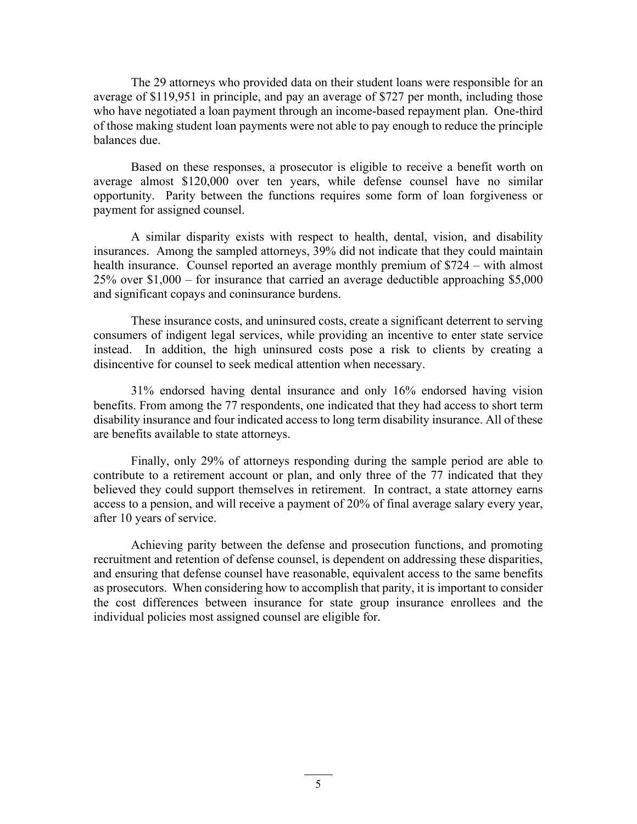The 29 attorneys who provided data on their student loans were responsible for an average of \$119,951 in principle, and pay an average of \$727 per month, including those who have negotiated a loan payment through an income-based repayment plan. One-third of those making student loan payments were not able to pay enough to reduce the principle balances due.

 Based on these responses, a prosecutor is eligible to receive a benefit worth on average almost \$120,000 over ten years, while defense counsel have no similar opportunity. Parity between the functions requires some form of loan forgiveness or payment for assigned counsel.

 A similar disparity exists with respect to health, dental, vision, and disability insurances. Among the sampled attorneys, 39% did not indicate that they could maintain health insurance. Counsel reported an average monthly premium of \$724 – with almost 25% over \$1,000 – for insurance that carried an average deductible approaching \$5,000 and significant copays and coninsurance burdens.

 These insurance costs, and uninsured costs, create a significant deterrent to serving consumers of indigent legal services, while providing an incentive to enter state service instead. In addition, the high uninsured costs pose a risk to clients by creating a disincentive for counsel to seek medical attention when necessary.

 31% endorsed having dental insurance and only 16% endorsed having vision benefits. From among the 77 respondents, one indicated that they had access to short term disability insurance and four indicated access to long term disability insurance. All of these are benefits available to state attorneys.

 Finally, only 29% of attorneys responding during the sample period are able to contribute to a retirement account or plan, and only three of the 77 indicated that they believed they could support themselves in retirement. In contract, a state attorney earns access to a pension, and will receive a payment of 20% of final average salary every year, after 10 years of service.

 Achieving parity between the defense and prosecution functions, and promoting recruitment and retention of defense counsel, is dependent on addressing these disparities, and ensuring that defense counsel have reasonable, equivalent access to the same benefits as prosecutors. When considering how to accomplish that parity, it is important to consider the cost differences between insurance for state group insurance enrollees and the individual policies most assigned counsel are eligible for.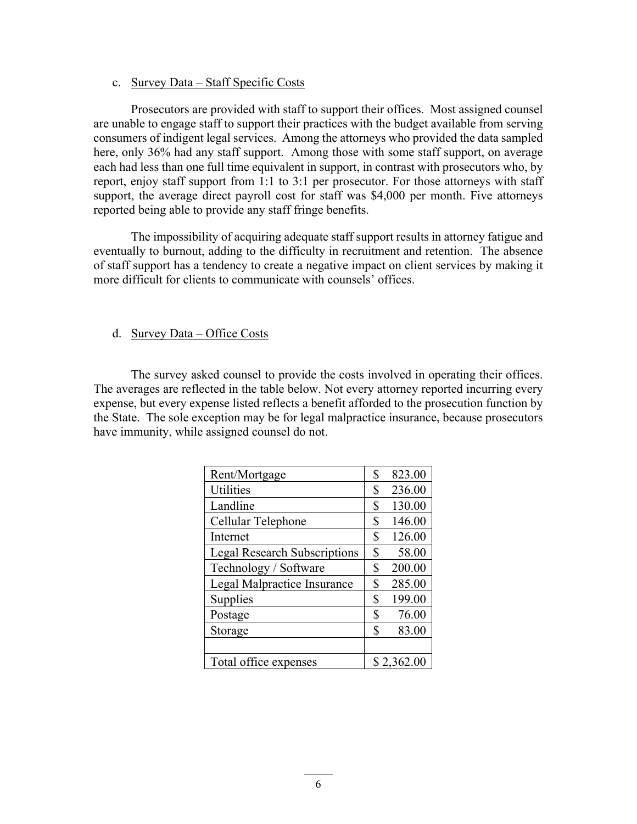#### c. Survey Data – Staff Specific Costs

Prosecutors are provided with staff to support their offices. Most assigned counsel are unable to engage staff to support their practices with the budget available from serving consumers of indigent legal services. Among the attorneys who provided the data sampled here, only 36% had any staff support. Among those with some staff support, on average each had less than one full time equivalent in support, in contrast with prosecutors who, by report, enjoy staff support from 1:1 to 3:1 per prosecutor. For those attorneys with staff support, the average direct payroll cost for staff was \$4,000 per month. Five attorneys reported being able to provide any staff fringe benefits.

The impossibility of acquiring adequate staff support results in attorney fatigue and eventually to burnout, adding to the difficulty in recruitment and retention. The absence of staff support has a tendency to create a negative impact on client services by making it more difficult for clients to communicate with counsels' offices.

### d. Survey Data – Office Costs

The survey asked counsel to provide the costs involved in operating their offices. The averages are reflected in the table below. Not every attorney reported incurring every expense, but every expense listed reflects a benefit afforded to the prosecution function by the State. The sole exception may be for legal malpractice insurance, because prosecutors have immunity, while assigned counsel do not.

| Rent/Mortgage                       |    | 823.00     |
|-------------------------------------|----|------------|
| <b>Utilities</b>                    |    | 236.00     |
| Landline                            |    | 130.00     |
| Cellular Telephone                  |    | 146.00     |
| Internet                            |    | 126.00     |
| <b>Legal Research Subscriptions</b> | \$ | 58.00      |
| Technology / Software               |    | 200.00     |
| Legal Malpractice Insurance         |    | 285.00     |
| Supplies                            | \$ | 199.00     |
| Postage                             | \$ | 76.00      |
| Storage                             |    | 83.00      |
|                                     |    |            |
| Total office expenses               |    | \$2,362.00 |